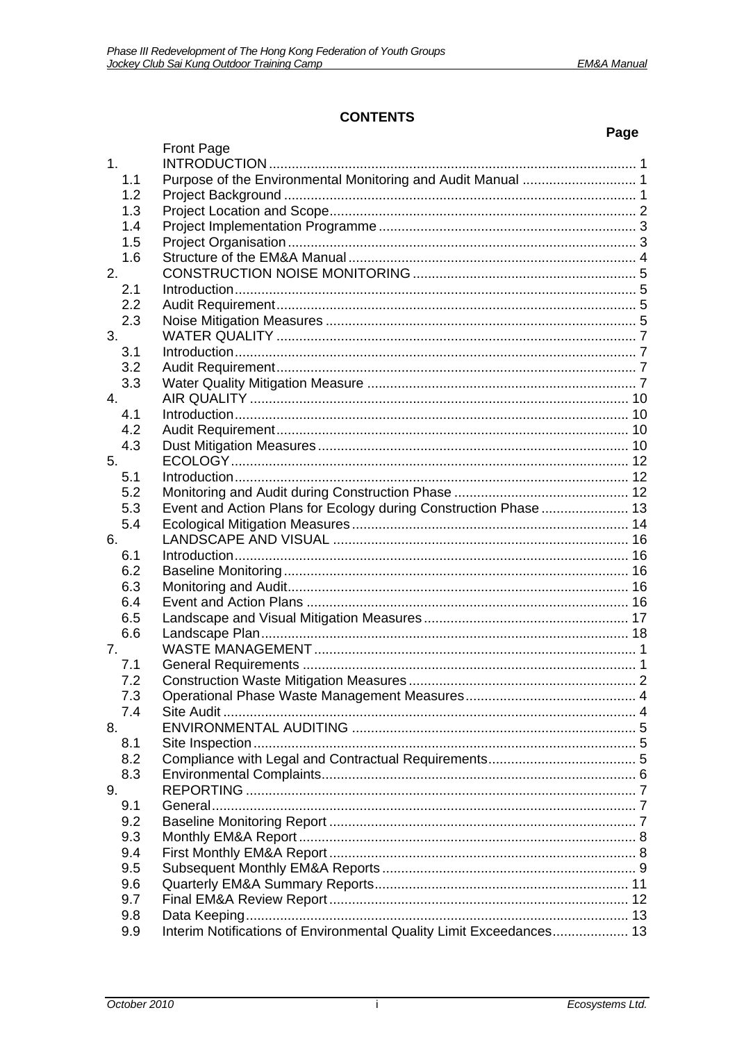$\overline{\phantom{0}}$ 

# **CONTENTS**

|                |                                                                     | Page |
|----------------|---------------------------------------------------------------------|------|
|                | <b>Front Page</b>                                                   |      |
| 1 <sub>1</sub> |                                                                     |      |
| 1.1            |                                                                     |      |
| 1.2            |                                                                     |      |
| 1.3            |                                                                     |      |
| 1.4            |                                                                     |      |
| 1.5            |                                                                     |      |
| 1.6            |                                                                     |      |
| 2.             |                                                                     |      |
| 2.1            |                                                                     |      |
| 2.2            |                                                                     |      |
| 2.3            |                                                                     |      |
| 3.             |                                                                     |      |
| 3.1            |                                                                     |      |
| 3.2            |                                                                     |      |
| 3.3            |                                                                     |      |
| 4.             |                                                                     |      |
| 4.1            |                                                                     |      |
| 4.2            |                                                                     |      |
| 4.3            |                                                                     |      |
| 5.             |                                                                     |      |
| 5.1            |                                                                     |      |
| 5.2            |                                                                     |      |
| 5.3            | Event and Action Plans for Ecology during Construction Phase  13    |      |
| 5.4            |                                                                     |      |
| 6.             |                                                                     |      |
| 6.1            |                                                                     |      |
| 6.2            |                                                                     |      |
| 6.3            |                                                                     |      |
| 6.4            |                                                                     |      |
| 6.5            |                                                                     |      |
| 6.6            |                                                                     |      |
| 7.             |                                                                     |      |
| 7.1            |                                                                     |      |
| 7.2            |                                                                     |      |
| 7.3            |                                                                     |      |
| 7.4            |                                                                     |      |
| 8.             |                                                                     |      |
| 8.1            |                                                                     |      |
| 8.2            |                                                                     |      |
| 8.3            |                                                                     |      |
| 9.             |                                                                     |      |
| 9.1            |                                                                     |      |
| 9.2            |                                                                     |      |
| 9.3            |                                                                     |      |
| 9.4            |                                                                     |      |
| 9.5            |                                                                     |      |
| 9.6            |                                                                     |      |
| 9.7            |                                                                     |      |
| 9.8            |                                                                     |      |
| 9.9            | Interim Notifications of Environmental Quality Limit Exceedances 13 |      |
|                |                                                                     |      |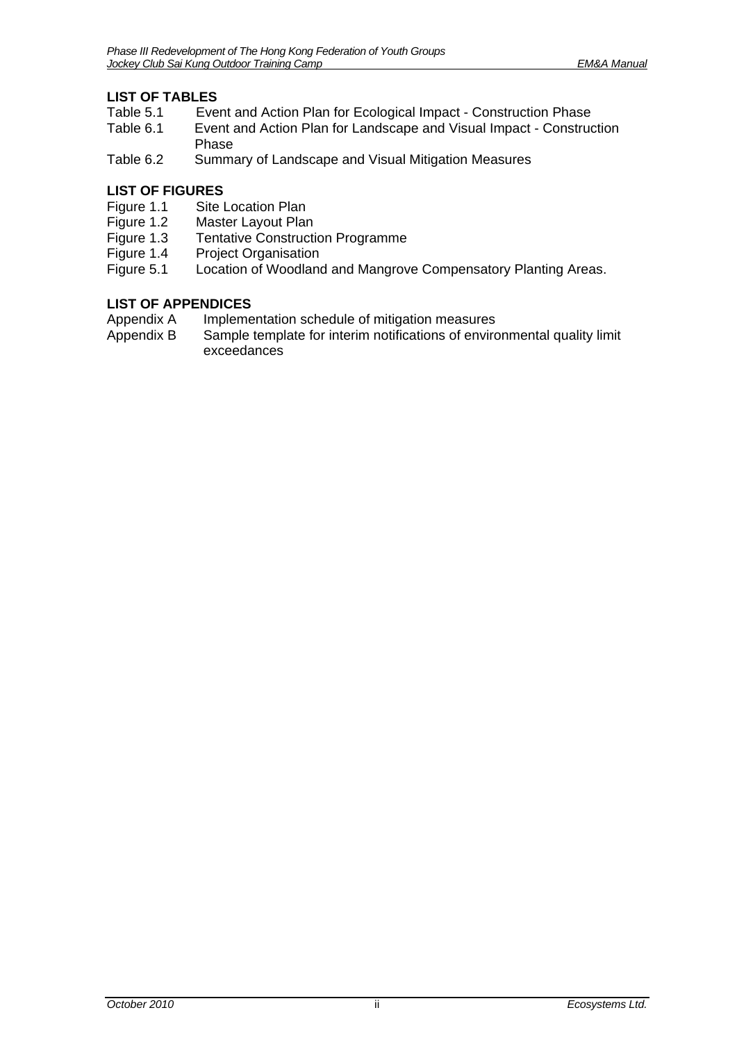# **LIST OF TABLES**

- Table 5.1 Event and Action Plan for Ecological Impact Construction Phase<br>Table 6.1 Event and Action Plan for Landscape and Visual Impact Construc
- Event and Action Plan for Landscape and Visual Impact Construction [Phase](#page-18-1)
- [Table 6.2 Summary of Landscape and Visual Mitigation Measures](#page-21-0)

# **LIST OF FIGURES**

- Figure 1.1 Site Location Plan
- Figure 1.2 Master Layout Plan
- Figure 1.3 Tentative Construction Programme
- Figure 1.4 Project Organisation<br>Figure 5.1 Location of Woodland
- Location of Woodland and Mangrove Compensatory Planting Areas.

# **LIST OF APPENDICES**

- Appendix A Implementation schedule of mitigation measures
- Appendix B Sample template for interim notifications of environmental quality limit exceedances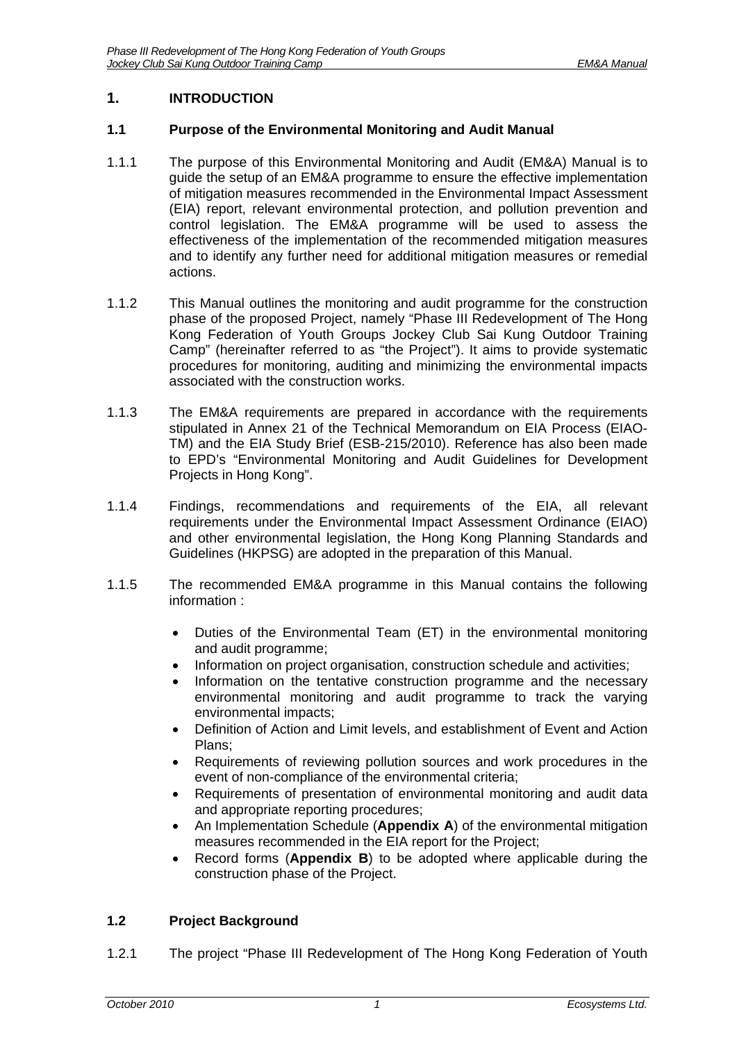# <span id="page-2-0"></span>**1. INTRODUCTION**

### <span id="page-2-1"></span>**1.1 Purpose of the Environmental Monitoring and Audit Manual**

- 1.1.1 The purpose of this Environmental Monitoring and Audit (EM&A) Manual is to guide the setup of an EM&A programme to ensure the effective implementation of mitigation measures recommended in the Environmental Impact Assessment (EIA) report, relevant environmental protection, and pollution prevention and control legislation. The EM&A programme will be used to assess the effectiveness of the implementation of the recommended mitigation measures and to identify any further need for additional mitigation measures or remedial actions.
- 1.1.2 This Manual outlines the monitoring and audit programme for the construction phase of the proposed Project, namely "Phase III Redevelopment of The Hong Kong Federation of Youth Groups Jockey Club Sai Kung Outdoor Training Camp" (hereinafter referred to as "the Project"). It aims to provide systematic procedures for monitoring, auditing and minimizing the environmental impacts associated with the construction works.
- 1.1.3 The EM&A requirements are prepared in accordance with the requirements stipulated in Annex 21 of the Technical Memorandum on EIA Process (EIAO-TM) and the EIA Study Brief (ESB-215/2010). Reference has also been made to EPD's "Environmental Monitoring and Audit Guidelines for Development Projects in Hong Kong".
- 1.1.4 Findings, recommendations and requirements of the EIA, all relevant requirements under the Environmental Impact Assessment Ordinance (EIAO) and other environmental legislation, the Hong Kong Planning Standards and Guidelines (HKPSG) are adopted in the preparation of this Manual.
- 1.1.5 The recommended EM&A programme in this Manual contains the following information :
	- Duties of the Environmental Team (ET) in the environmental monitoring and audit programme;
	- Information on project organisation, construction schedule and activities;
	- Information on the tentative construction programme and the necessary environmental monitoring and audit programme to track the varying environmental impacts;
	- Definition of Action and Limit levels, and establishment of Event and Action Plans;
	- Requirements of reviewing pollution sources and work procedures in the event of non-compliance of the environmental criteria;
	- Requirements of presentation of environmental monitoring and audit data and appropriate reporting procedures;
	- An Implementation Schedule (**Appendix A**) of the environmental mitigation measures recommended in the EIA report for the Project;
	- Record forms (**Appendix B**) to be adopted where applicable during the construction phase of the Project.

# <span id="page-2-2"></span>**1.2 Project Background**

1.2.1 The project "Phase III Redevelopment of The Hong Kong Federation of Youth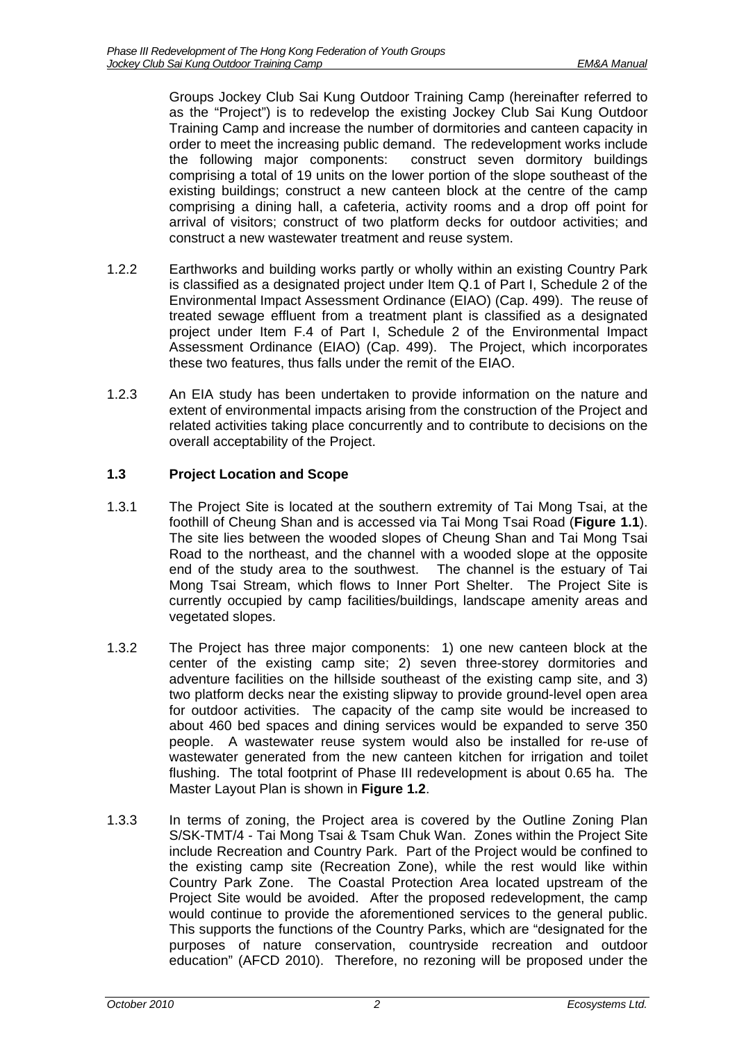Groups Jockey Club Sai Kung Outdoor Training Camp (hereinafter referred to as the "Project") is to redevelop the existing Jockey Club Sai Kung Outdoor Training Camp and increase the number of dormitories and canteen capacity in order to meet the increasing public demand. The redevelopment works include the following major components: construct seven dormitory buildings comprising a total of 19 units on the lower portion of the slope southeast of the existing buildings; construct a new canteen block at the centre of the camp comprising a dining hall, a cafeteria, activity rooms and a drop off point for arrival of visitors; construct of two platform decks for outdoor activities; and construct a new wastewater treatment and reuse system.

- 1.2.2 Earthworks and building works partly or wholly within an existing Country Park is classified as a designated project under Item Q.1 of Part I, Schedule 2 of the Environmental Impact Assessment Ordinance (EIAO) (Cap. 499). The reuse of treated sewage effluent from a treatment plant is classified as a designated project under Item F.4 of Part I, Schedule 2 of the Environmental Impact Assessment Ordinance (EIAO) (Cap. 499). The Project, which incorporates these two features, thus falls under the remit of the EIAO.
- 1.2.3 An EIA study has been undertaken to provide information on the nature and extent of environmental impacts arising from the construction of the Project and related activities taking place concurrently and to contribute to decisions on the overall acceptability of the Project.

# <span id="page-3-0"></span>**1.3 Project Location and Scope**

- 1.3.1 The Project Site is located at the southern extremity of Tai Mong Tsai, at the foothill of Cheung Shan and is accessed via Tai Mong Tsai Road (**Figure 1.1**). The site lies between the wooded slopes of Cheung Shan and Tai Mong Tsai Road to the northeast, and the channel with a wooded slope at the opposite end of the study area to the southwest. The channel is the estuary of Tai Mong Tsai Stream, which flows to Inner Port Shelter. The Project Site is currently occupied by camp facilities/buildings, landscape amenity areas and vegetated slopes.
- 1.3.2 The Project has three major components: 1) one new canteen block at the center of the existing camp site; 2) seven three-storey dormitories and adventure facilities on the hillside southeast of the existing camp site, and 3) two platform decks near the existing slipway to provide ground-level open area for outdoor activities. The capacity of the camp site would be increased to about 460 bed spaces and dining services would be expanded to serve 350 people. A wastewater reuse system would also be installed for re-use of wastewater generated from the new canteen kitchen for irrigation and toilet flushing. The total footprint of Phase III redevelopment is about 0.65 ha. The Master Layout Plan is shown in **Figure 1.2**.
- 1.3.3 In terms of zoning, the Project area is covered by the Outline Zoning Plan S/SK-TMT/4 - Tai Mong Tsai & Tsam Chuk Wan. Zones within the Project Site include Recreation and Country Park. Part of the Project would be confined to the existing camp site (Recreation Zone), while the rest would like within Country Park Zone. The Coastal Protection Area located upstream of the Project Site would be avoided. After the proposed redevelopment, the camp would continue to provide the aforementioned services to the general public. This supports the functions of the Country Parks, which are "designated for the purposes of nature conservation, countryside recreation and outdoor education" (AFCD 2010). Therefore, no rezoning will be proposed under the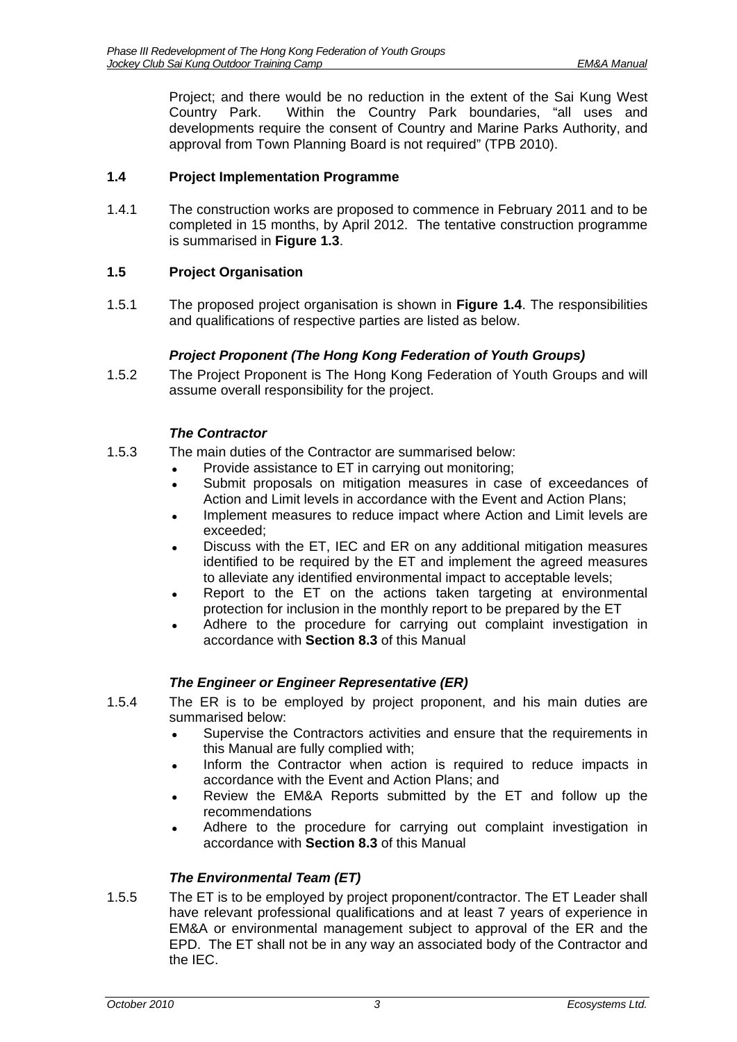Project; and there would be no reduction in the extent of the Sai Kung West Country Park. Within the Country Park boundaries, "all uses and developments require the consent of Country and Marine Parks Authority, and approval from Town Planning Board is not required" (TPB 2010).

### <span id="page-4-0"></span>**1.4 Project Implementation Programme**

1.4.1 The construction works are proposed to commence in February 2011 and to be completed in 15 months, by April 2012. The tentative construction programme is summarised in **Figure 1.3**.

# <span id="page-4-1"></span>**1.5 Project Organisation**

1.5.1 The proposed project organisation is shown in **Figure 1.4**. The responsibilities and qualifications of respective parties are listed as below.

### *Project Proponent (The Hong Kong Federation of Youth Groups)*

1.5.2 The Project Proponent is The Hong Kong Federation of Youth Groups and will assume overall responsibility for the project.

### *The Contractor*

- 1.5.3 The main duties of the Contractor are summarised below:
	- Provide assistance to ET in carrying out monitoring:
		- Submit proposals on mitigation measures in case of exceedances of Action and Limit levels in accordance with the Event and Action Plans;
		- Implement measures to reduce impact where Action and Limit levels are exceeded;
		- Discuss with the ET, IEC and ER on any additional mitigation measures identified to be required by the ET and implement the agreed measures to alleviate any identified environmental impact to acceptable levels;
		- Report to the ET on the actions taken targeting at environmental protection for inclusion in the monthly report to be prepared by the ET
		- Adhere to the procedure for carrying out complaint investigation in accordance with **Section 8.3** of this Manual

# *The Engineer or Engineer Representative (ER)*

- 1.5.4 The ER is to be employed by project proponent, and his main duties are summarised below:
	- Supervise the Contractors activities and ensure that the requirements in this Manual are fully complied with;
	- Inform the Contractor when action is required to reduce impacts in accordance with the Event and Action Plans; and
	- Review the EM&A Reports submitted by the ET and follow up the recommendations
	- Adhere to the procedure for carrying out complaint investigation in accordance with **Section 8.3** of this Manual

# *The Environmental Team (ET)*

1.5.5 The ET is to be employed by project proponent/contractor. The ET Leader shall have relevant professional qualifications and at least 7 years of experience in EM&A or environmental management subject to approval of the ER and the EPD. The ET shall not be in any way an associated body of the Contractor and the IEC.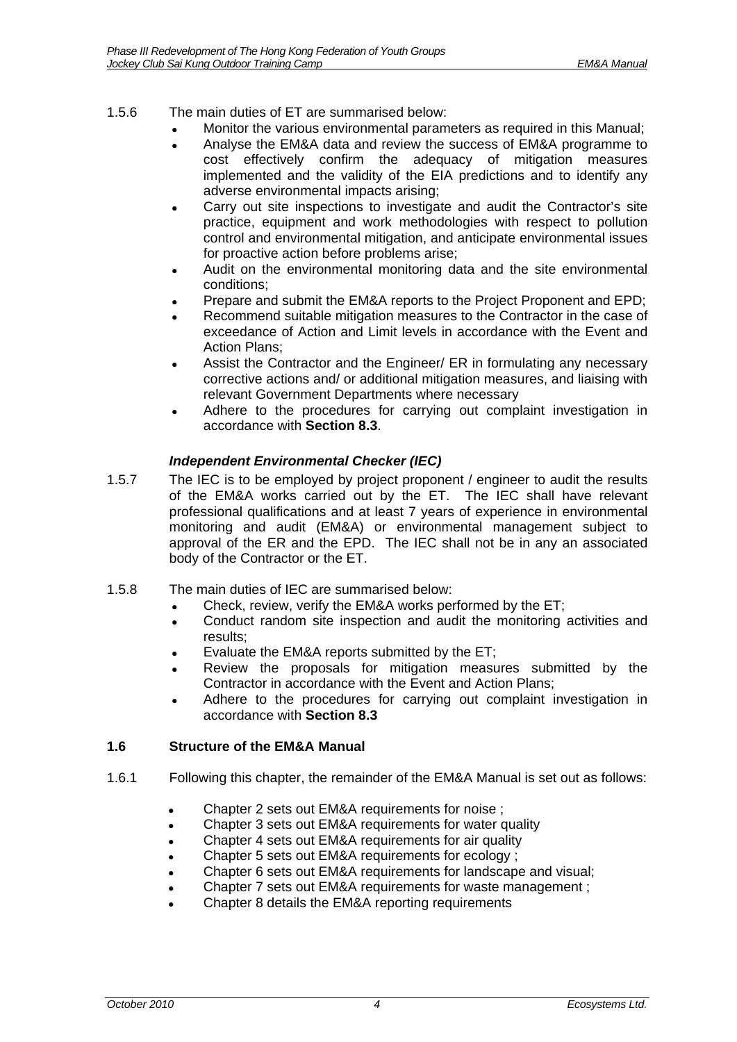### 1.5.6 The main duties of ET are summarised below:

- Monitor the various environmental parameters as required in this Manual;
- Analyse the EM&A data and review the success of EM&A programme to cost effectively confirm the adequacy of mitigation measures implemented and the validity of the EIA predictions and to identify any adverse environmental impacts arising;
- Carry out site inspections to investigate and audit the Contractor's site practice, equipment and work methodologies with respect to pollution control and environmental mitigation, and anticipate environmental issues for proactive action before problems arise;
- Audit on the environmental monitoring data and the site environmental conditions;
- Prepare and submit the EM&A reports to the Project Proponent and EPD;
- Recommend suitable mitigation measures to the Contractor in the case of exceedance of Action and Limit levels in accordance with the Event and Action Plans;
- Assist the Contractor and the Engineer/ ER in formulating any necessary corrective actions and/ or additional mitigation measures, and liaising with relevant Government Departments where necessary
- Adhere to the procedures for carrying out complaint investigation in accordance with **Section 8.3**.

### *Independent Environmental Checker (IEC)*

- 1.5.7 The IEC is to be employed by project proponent / engineer to audit the results of the EM&A works carried out by the ET. The IEC shall have relevant professional qualifications and at least 7 years of experience in environmental monitoring and audit (EM&A) or environmental management subject to approval of the ER and the EPD. The IEC shall not be in any an associated body of the Contractor or the ET.
- 1.5.8 The main duties of IEC are summarised below:
	- Check, review, verify the EM&A works performed by the ET;
	- Conduct random site inspection and audit the monitoring activities and results;
	- Evaluate the EM&A reports submitted by the ET;
	- Review the proposals for mitigation measures submitted by the Contractor in accordance with the Event and Action Plans;
	- Adhere to the procedures for carrying out complaint investigation in accordance with **Section 8.3**

### <span id="page-5-0"></span>**1.6 Structure of the EM&A Manual**

- 1.6.1 Following this chapter, the remainder of the EM&A Manual is set out as follows:
	- Chapter 2 sets out EM&A requirements for noise ;
	- Chapter 3 sets out EM&A requirements for water quality
	- Chapter 4 sets out EM&A requirements for air quality
	- Chapter 5 sets out EM&A requirements for ecology ;
	- Chapter 6 sets out EM&A requirements for landscape and visual;
	- Chapter 7 sets out EM&A requirements for waste management ;
	- Chapter 8 details the EM&A reporting requirements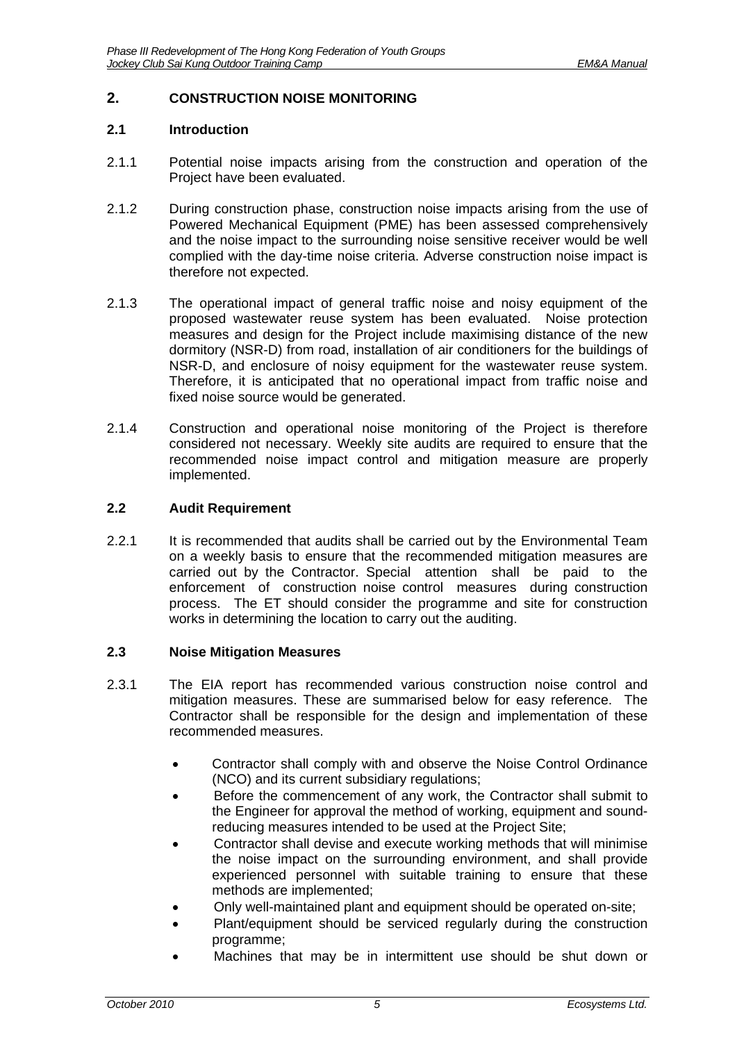## <span id="page-6-0"></span>**2. CONSTRUCTION NOISE MONITORING**

#### <span id="page-6-1"></span>**2.1 Introduction**

- 2.1.1 Potential noise impacts arising from the construction and operation of the Project have been evaluated.
- 2.1.2 During construction phase, construction noise impacts arising from the use of Powered Mechanical Equipment (PME) has been assessed comprehensively and the noise impact to the surrounding noise sensitive receiver would be well complied with the day-time noise criteria. Adverse construction noise impact is therefore not expected.
- 2.1.3 The operational impact of general traffic noise and noisy equipment of the proposed wastewater reuse system has been evaluated. Noise protection measures and design for the Project include maximising distance of the new dormitory (NSR-D) from road, installation of air conditioners for the buildings of NSR-D, and enclosure of noisy equipment for the wastewater reuse system. Therefore, it is anticipated that no operational impact from traffic noise and fixed noise source would be generated.
- 2.1.4 Construction and operational noise monitoring of the Project is therefore considered not necessary. Weekly site audits are required to ensure that the recommended noise impact control and mitigation measure are properly implemented.

### <span id="page-6-2"></span>**2.2 Audit Requirement**

2.2.1 It is recommended that audits shall be carried out by the Environmental Team on a weekly basis to ensure that the recommended mitigation measures are carried out by the Contractor. Special attention shall be paid to the enforcement of construction noise control measures during construction process. The ET should consider the programme and site for construction works in determining the location to carry out the auditing.

#### <span id="page-6-3"></span>**2.3 Noise Mitigation Measures**

- 2.3.1 The EIA report has recommended various construction noise control and mitigation measures. These are summarised below for easy reference. The Contractor shall be responsible for the design and implementation of these recommended measures.
	- Contractor shall comply with and observe the Noise Control Ordinance (NCO) and its current subsidiary regulations;
	- Before the commencement of any work, the Contractor shall submit to the Engineer for approval the method of working, equipment and soundreducing measures intended to be used at the Project Site;
	- Contractor shall devise and execute working methods that will minimise the noise impact on the surrounding environment, and shall provide experienced personnel with suitable training to ensure that these methods are implemented;
	- Only well-maintained plant and equipment should be operated on-site;
	- Plant/equipment should be serviced regularly during the construction programme;
	- Machines that may be in intermittent use should be shut down or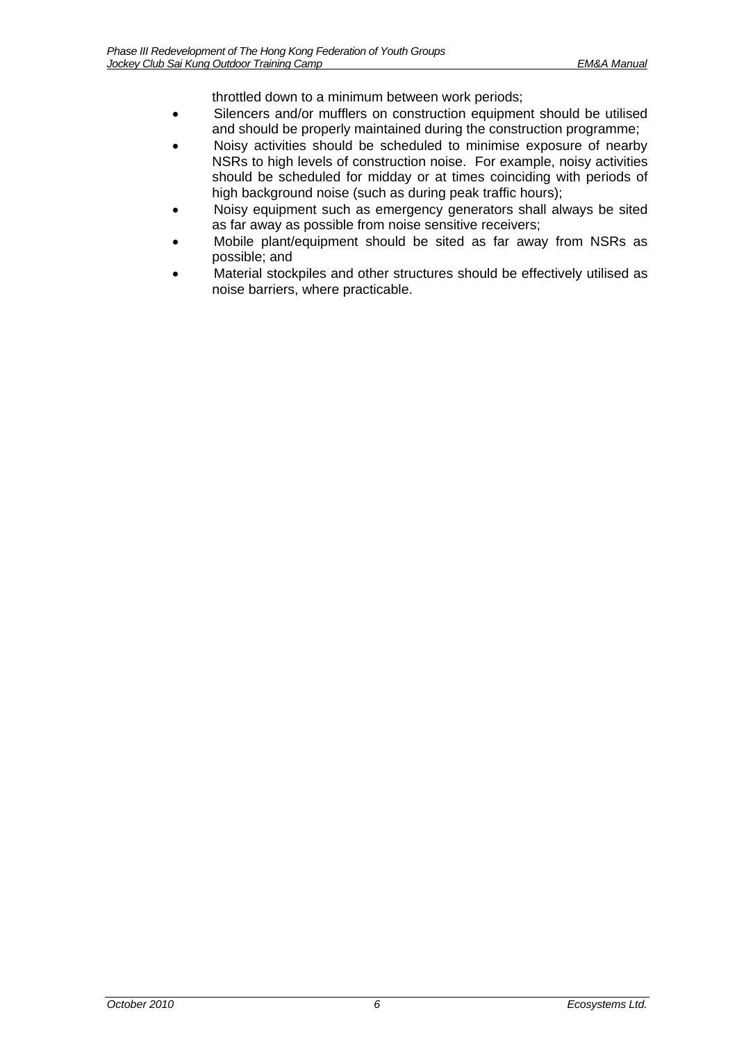throttled down to a minimum between work periods;

- Silencers and/or mufflers on construction equipment should be utilised and should be properly maintained during the construction programme;
- Noisy activities should be scheduled to minimise exposure of nearby NSRs to high levels of construction noise. For example, noisy activities should be scheduled for midday or at times coinciding with periods of high background noise (such as during peak traffic hours);
- Noisy equipment such as emergency generators shall always be sited as far away as possible from noise sensitive receivers;
- Mobile plant/equipment should be sited as far away from NSRs as possible; and
- Material stockpiles and other structures should be effectively utilised as noise barriers, where practicable.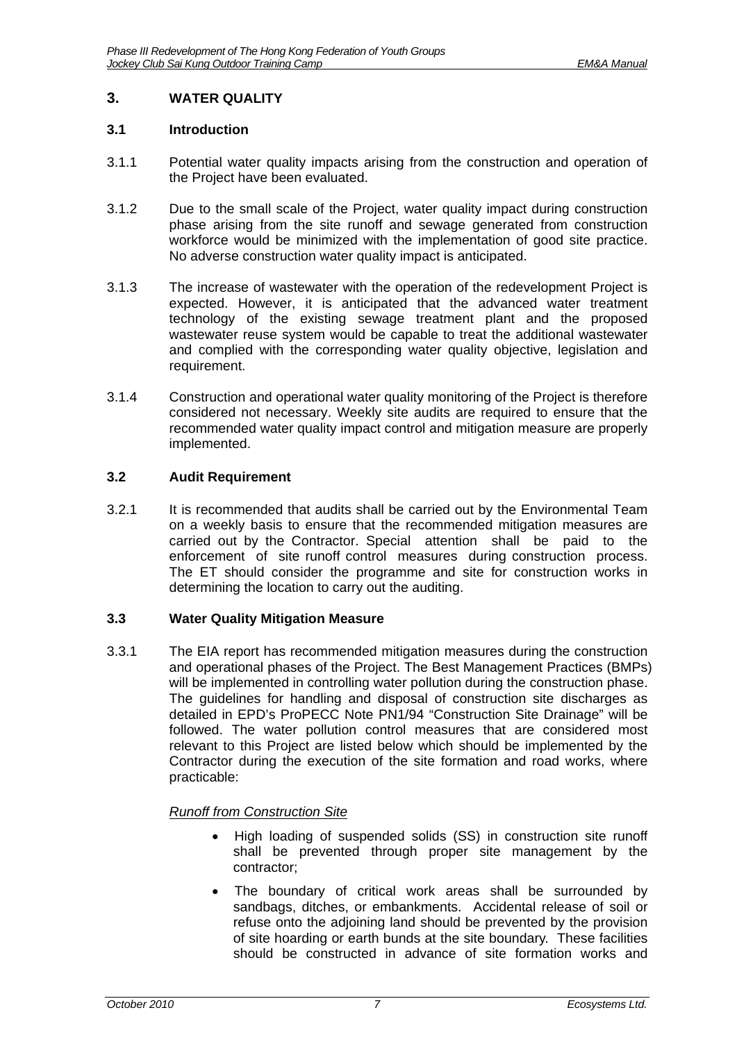# <span id="page-8-0"></span>**3. WATER QUALITY**

### <span id="page-8-1"></span>**3.1 Introduction**

- 3.1.1 Potential water quality impacts arising from the construction and operation of the Project have been evaluated.
- 3.1.2 Due to the small scale of the Project, water quality impact during construction phase arising from the site runoff and sewage generated from construction workforce would be minimized with the implementation of good site practice. No adverse construction water quality impact is anticipated.
- 3.1.3 The increase of wastewater with the operation of the redevelopment Project is expected. However, it is anticipated that the advanced water treatment technology of the existing sewage treatment plant and the proposed wastewater reuse system would be capable to treat the additional wastewater and complied with the corresponding water quality objective, legislation and requirement.
- 3.1.4 Construction and operational water quality monitoring of the Project is therefore considered not necessary. Weekly site audits are required to ensure that the recommended water quality impact control and mitigation measure are properly implemented.

### <span id="page-8-2"></span>**3.2 Audit Requirement**

3.2.1 It is recommended that audits shall be carried out by the Environmental Team on a weekly basis to ensure that the recommended mitigation measures are carried out by the Contractor. Special attention shall be paid to the enforcement of site runoff control measures during construction process. The ET should consider the programme and site for construction works in determining the location to carry out the auditing.

### <span id="page-8-3"></span>**3.3 Water Quality Mitigation Measure**

3.3.1 The EIA report has recommended mitigation measures during the construction and operational phases of the Project. The Best Management Practices (BMPs) will be implemented in controlling water pollution during the construction phase. The guidelines for handling and disposal of construction site discharges as detailed in EPD's ProPECC Note PN1/94 "Construction Site Drainage" will be followed. The water pollution control measures that are considered most relevant to this Project are listed below which should be implemented by the Contractor during the execution of the site formation and road works, where practicable:

# *Runoff from Construction Site*

- High loading of suspended solids (SS) in construction site runoff shall be prevented through proper site management by the contractor;
- The boundary of critical work areas shall be surrounded by sandbags, ditches, or embankments. Accidental release of soil or refuse onto the adjoining land should be prevented by the provision of site hoarding or earth bunds at the site boundary. These facilities should be constructed in advance of site formation works and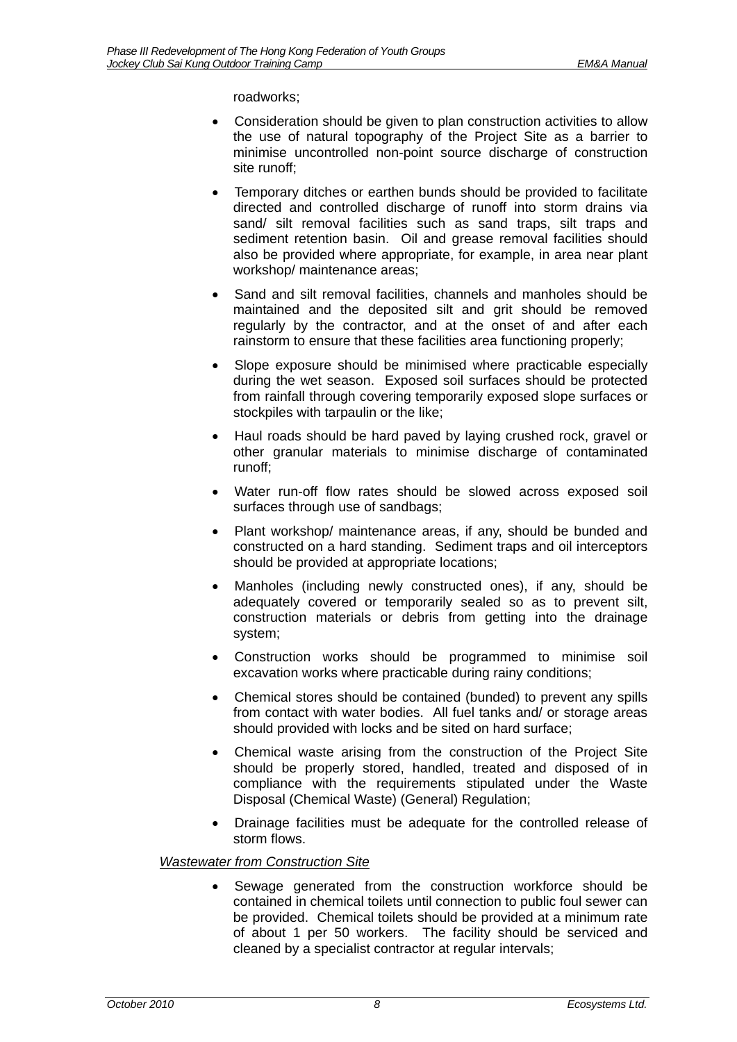roadworks;

- Consideration should be given to plan construction activities to allow the use of natural topography of the Project Site as a barrier to minimise uncontrolled non-point source discharge of construction site runoff;
- Temporary ditches or earthen bunds should be provided to facilitate directed and controlled discharge of runoff into storm drains via sand/ silt removal facilities such as sand traps, silt traps and sediment retention basin. Oil and grease removal facilities should also be provided where appropriate, for example, in area near plant workshop/ maintenance areas;
- Sand and silt removal facilities, channels and manholes should be maintained and the deposited silt and grit should be removed regularly by the contractor, and at the onset of and after each rainstorm to ensure that these facilities area functioning properly;
- Slope exposure should be minimised where practicable especially during the wet season. Exposed soil surfaces should be protected from rainfall through covering temporarily exposed slope surfaces or stockpiles with tarpaulin or the like;
- Haul roads should be hard paved by laying crushed rock, gravel or other granular materials to minimise discharge of contaminated runoff;
- Water run-off flow rates should be slowed across exposed soil surfaces through use of sandbags;
- Plant workshop/ maintenance areas, if any, should be bunded and constructed on a hard standing. Sediment traps and oil interceptors should be provided at appropriate locations;
- Manholes (including newly constructed ones), if any, should be adequately covered or temporarily sealed so as to prevent silt, construction materials or debris from getting into the drainage system;
- Construction works should be programmed to minimise soil excavation works where practicable during rainy conditions;
- Chemical stores should be contained (bunded) to prevent any spills from contact with water bodies. All fuel tanks and/ or storage areas should provided with locks and be sited on hard surface;
- Chemical waste arising from the construction of the Project Site should be properly stored, handled, treated and disposed of in compliance with the requirements stipulated under the Waste Disposal (Chemical Waste) (General) Regulation;
- Drainage facilities must be adequate for the controlled release of storm flows.

# *Wastewater from Construction Site*

 Sewage generated from the construction workforce should be contained in chemical toilets until connection to public foul sewer can be provided. Chemical toilets should be provided at a minimum rate of about 1 per 50 workers. The facility should be serviced and cleaned by a specialist contractor at regular intervals;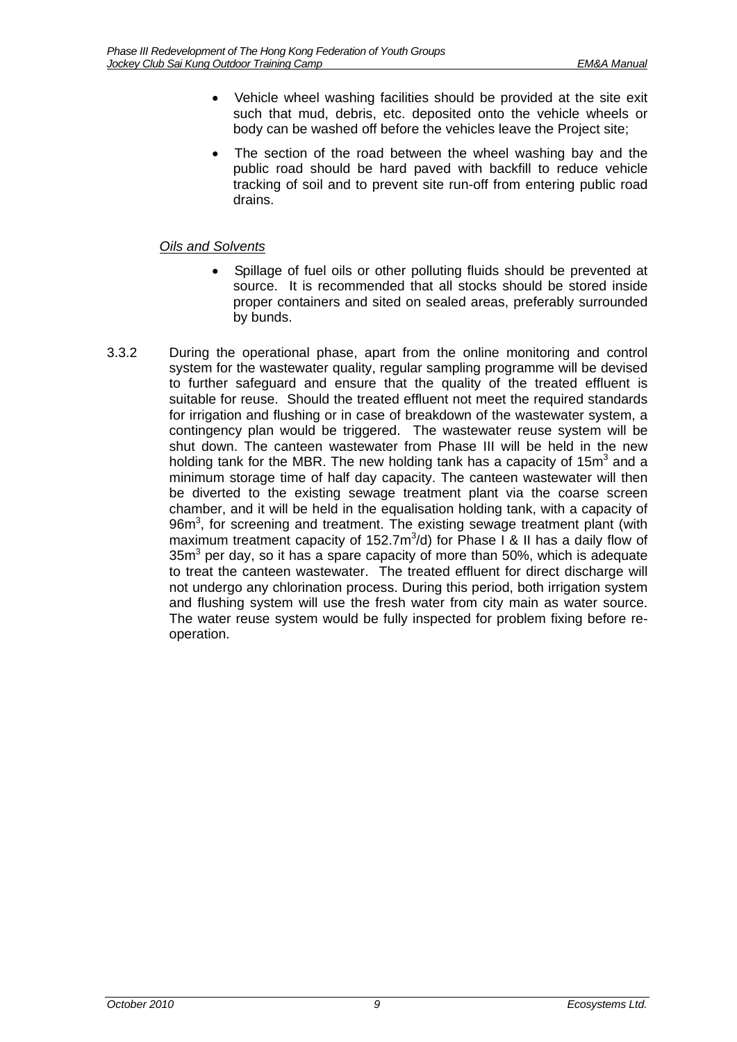- Vehicle wheel washing facilities should be provided at the site exit such that mud, debris, etc. deposited onto the vehicle wheels or body can be washed off before the vehicles leave the Project site;
- The section of the road between the wheel washing bay and the public road should be hard paved with backfill to reduce vehicle tracking of soil and to prevent site run-off from entering public road drains.

### *Oils and Solvents*

- Spillage of fuel oils or other polluting fluids should be prevented at source. It is recommended that all stocks should be stored inside proper containers and sited on sealed areas, preferably surrounded by bunds.
- 3.3.2 During the operational phase, apart from the online monitoring and control system for the wastewater quality, regular sampling programme will be devised to further safeguard and ensure that the quality of the treated effluent is suitable for reuse. Should the treated effluent not meet the required standards for irrigation and flushing or in case of breakdown of the wastewater system, a contingency plan would be triggered. The wastewater reuse system will be shut down. The canteen wastewater from Phase III will be held in the new holding tank for the MBR. The new holding tank has a capacity of 15m<sup>3</sup> and a minimum storage time of half day capacity. The canteen wastewater will then be diverted to the existing sewage treatment plant via the coarse screen chamber, and it will be held in the equalisation holding tank, with a capacity of  $96m<sup>3</sup>$ , for screening and treatment. The existing sewage treatment plant (with maximum treatment capacity of 152.7m<sup>3</sup>/d) for Phase I & II has a daily flow of  $35m<sup>3</sup>$  per day, so it has a spare capacity of more than 50%, which is adequate to treat the canteen wastewater. The treated effluent for direct discharge will not undergo any chlorination process. During this period, both irrigation system and flushing system will use the fresh water from city main as water source. The water reuse system would be fully inspected for problem fixing before reoperation.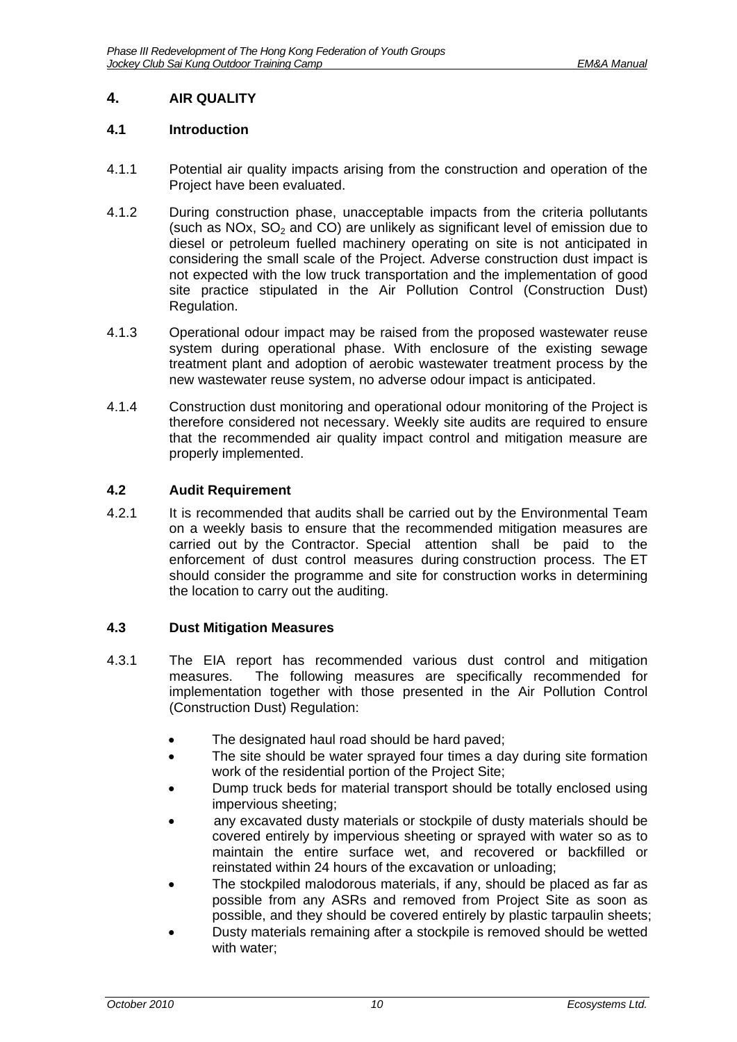# <span id="page-11-0"></span>**4. AIR QUALITY**

### <span id="page-11-1"></span>**4.1 Introduction**

- 4.1.1 Potential air quality impacts arising from the construction and operation of the Project have been evaluated.
- 4.1.2 During construction phase, unacceptable impacts from the criteria pollutants (such as NOx,  $SO<sub>2</sub>$  and CO) are unlikely as significant level of emission due to diesel or petroleum fuelled machinery operating on site is not anticipated in considering the small scale of the Project. Adverse construction dust impact is not expected with the low truck transportation and the implementation of good site practice stipulated in the Air Pollution Control (Construction Dust) Regulation.
- 4.1.3 Operational odour impact may be raised from the proposed wastewater reuse system during operational phase. With enclosure of the existing sewage treatment plant and adoption of aerobic wastewater treatment process by the new wastewater reuse system, no adverse odour impact is anticipated.
- 4.1.4 Construction dust monitoring and operational odour monitoring of the Project is therefore considered not necessary. Weekly site audits are required to ensure that the recommended air quality impact control and mitigation measure are properly implemented.

### <span id="page-11-2"></span>**4.2 Audit Requirement**

4.2.1 It is recommended that audits shall be carried out by the Environmental Team on a weekly basis to ensure that the recommended mitigation measures are carried out by the Contractor. Special attention shall be paid to the enforcement of dust control measures during construction process. The ET should consider the programme and site for construction works in determining the location to carry out the auditing.

### <span id="page-11-3"></span>**4.3 Dust Mitigation Measures**

- 4.3.1 The EIA report has recommended various dust control and mitigation measures. The following measures are specifically recommended for implementation together with those presented in the Air Pollution Control (Construction Dust) Regulation:
	- The designated haul road should be hard paved;
	- The site should be water sprayed four times a day during site formation work of the residential portion of the Project Site;
	- Dump truck beds for material transport should be totally enclosed using impervious sheeting;
	- any excavated dusty materials or stockpile of dusty materials should be covered entirely by impervious sheeting or sprayed with water so as to maintain the entire surface wet, and recovered or backfilled or reinstated within 24 hours of the excavation or unloading;
	- The stockpiled malodorous materials, if any, should be placed as far as possible from any ASRs and removed from Project Site as soon as possible, and they should be covered entirely by plastic tarpaulin sheets;
	- Dusty materials remaining after a stockpile is removed should be wetted with water;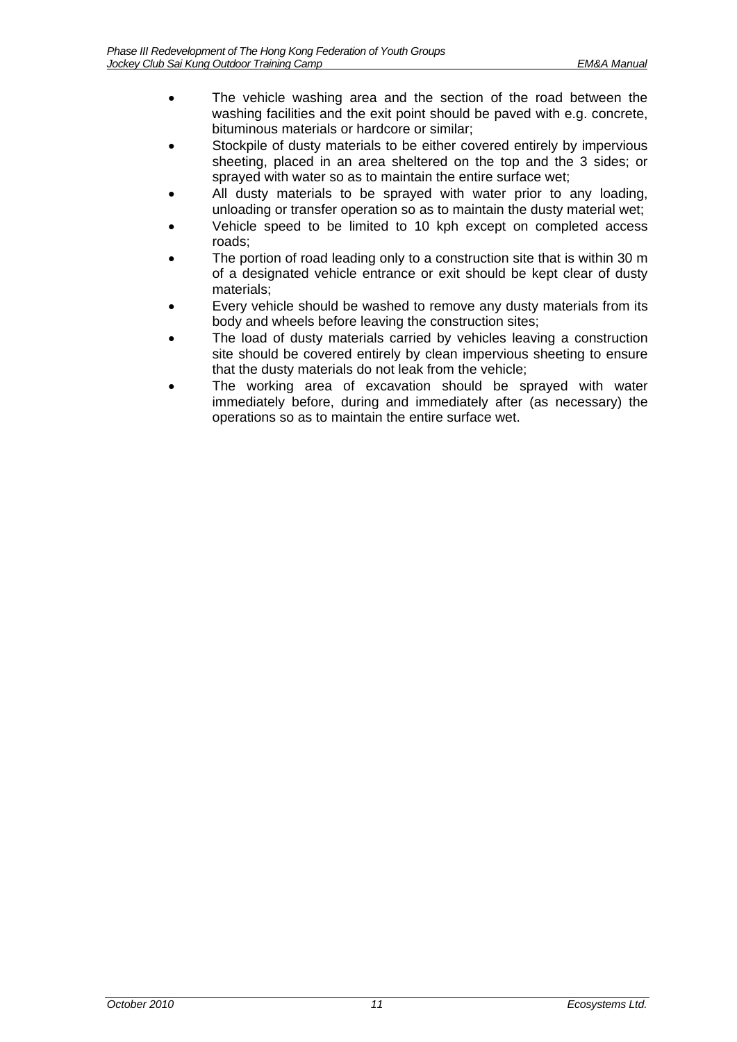- The vehicle washing area and the section of the road between the washing facilities and the exit point should be paved with e.g. concrete, bituminous materials or hardcore or similar;
- Stockpile of dusty materials to be either covered entirely by impervious sheeting, placed in an area sheltered on the top and the 3 sides; or sprayed with water so as to maintain the entire surface wet;
- All dusty materials to be sprayed with water prior to any loading, unloading or transfer operation so as to maintain the dusty material wet;
- Vehicle speed to be limited to 10 kph except on completed access roads;
- The portion of road leading only to a construction site that is within 30 m of a designated vehicle entrance or exit should be kept clear of dusty materials;
- Every vehicle should be washed to remove any dusty materials from its body and wheels before leaving the construction sites;
- The load of dusty materials carried by vehicles leaving a construction site should be covered entirely by clean impervious sheeting to ensure that the dusty materials do not leak from the vehicle;
- The working area of excavation should be sprayed with water immediately before, during and immediately after (as necessary) the operations so as to maintain the entire surface wet.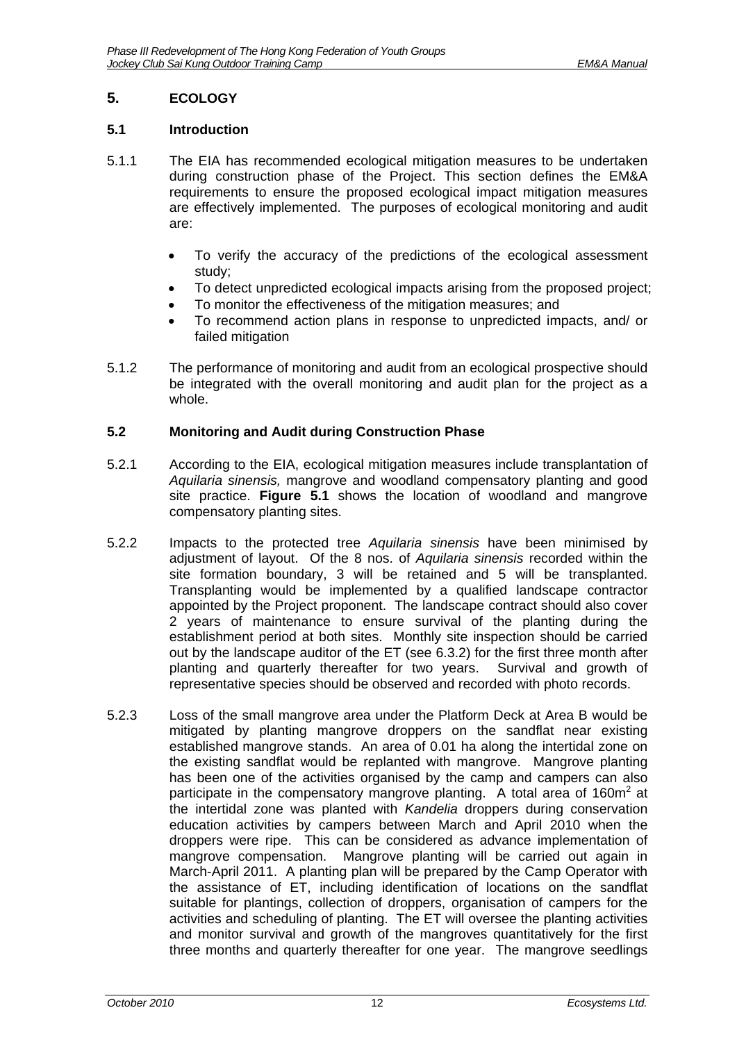# <span id="page-13-0"></span>**5. ECOLOGY**

### <span id="page-13-1"></span>**5.1 Introduction**

- 5.1.1 The EIA has recommended ecological mitigation measures to be undertaken during construction phase of the Project. This section defines the EM&A requirements to ensure the proposed ecological impact mitigation measures are effectively implemented. The purposes of ecological monitoring and audit are:
	- To verify the accuracy of the predictions of the ecological assessment study;
	- To detect unpredicted ecological impacts arising from the proposed project:
	- To monitor the effectiveness of the mitigation measures; and
	- To recommend action plans in response to unpredicted impacts, and/ or failed mitigation
- 5.1.2 The performance of monitoring and audit from an ecological prospective should be integrated with the overall monitoring and audit plan for the project as a whole.

### <span id="page-13-2"></span>**5.2 Monitoring and Audit during Construction Phase**

- 5.2.1 According to the EIA, ecological mitigation measures include transplantation of *Aquilaria sinensis,* mangrove and woodland compensatory planting and good site practice. **Figure 5.1** shows the location of woodland and mangrove compensatory planting sites.
- 5.2.2 Impacts to the protected tree *Aquilaria sinensis* have been minimised by adjustment of layout. Of the 8 nos. of *Aquilaria sinensis* recorded within the site formation boundary, 3 will be retained and 5 will be transplanted. Transplanting would be implemented by a qualified landscape contractor appointed by the Project proponent. The landscape contract should also cover 2 years of maintenance to ensure survival of the planting during the establishment period at both sites. Monthly site inspection should be carried out by the landscape auditor of the ET (see 6.3.2) for the first three month after planting and quarterly thereafter for two years. Survival and growth of representative species should be observed and recorded with photo records.
- 5.2.3 Loss of the small mangrove area under the Platform Deck at Area B would be mitigated by planting mangrove droppers on the sandflat near existing established mangrove stands. An area of 0.01 ha along the intertidal zone on the existing sandflat would be replanted with mangrove. Mangrove planting has been one of the activities organised by the camp and campers can also participate in the compensatory mangrove planting. A total area of  $160m^2$  at the intertidal zone was planted with *Kandelia* droppers during conservation education activities by campers between March and April 2010 when the droppers were ripe. This can be considered as advance implementation of mangrove compensation. Mangrove planting will be carried out again in March-April 2011. A planting plan will be prepared by the Camp Operator with the assistance of ET, including identification of locations on the sandflat suitable for plantings, collection of droppers, organisation of campers for the activities and scheduling of planting. The ET will oversee the planting activities and monitor survival and growth of the mangroves quantitatively for the first three months and quarterly thereafter for one year. The mangrove seedlings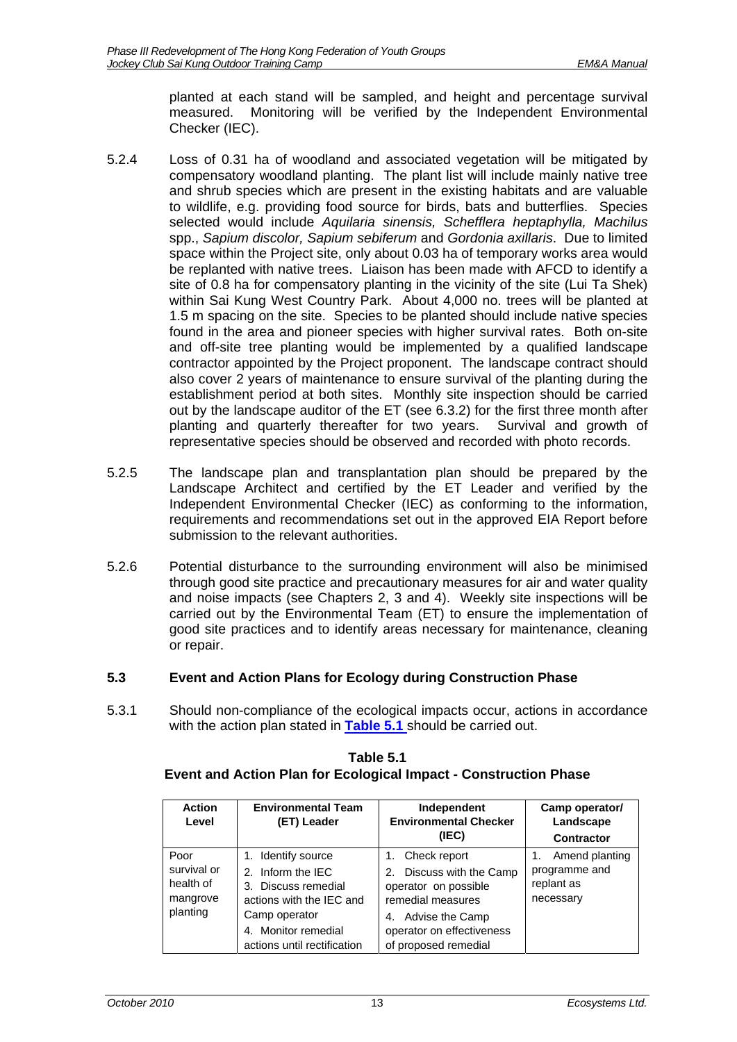planted at each stand will be sampled, and height and percentage survival measured. Monitoring will be verified by the Independent Environmental Checker (IEC).

- 5.2.4 Loss of 0.31 ha of woodland and associated vegetation will be mitigated by compensatory woodland planting. The plant list will include mainly native tree and shrub species which are present in the existing habitats and are valuable to wildlife, e.g. providing food source for birds, bats and butterflies. Species selected would include *Aquilaria sinensis, Schefflera heptaphylla, Machilus* spp., *Sapium discolor, Sapium sebiferum* and *Gordonia axillaris*. Due to limited space within the Project site, only about 0.03 ha of temporary works area would be replanted with native trees. Liaison has been made with AFCD to identify a site of 0.8 ha for compensatory planting in the vicinity of the site (Lui Ta Shek) within Sai Kung West Country Park. About 4,000 no. trees will be planted at 1.5 m spacing on the site. Species to be planted should include native species found in the area and pioneer species with higher survival rates. Both on-site and off-site tree planting would be implemented by a qualified landscape contractor appointed by the Project proponent. The landscape contract should also cover 2 years of maintenance to ensure survival of the planting during the establishment period at both sites. Monthly site inspection should be carried out by the landscape auditor of the ET (see 6.3.2) for the first three month after planting and quarterly thereafter for two years. Survival and growth of representative species should be observed and recorded with photo records.
- 5.2.5 The landscape plan and transplantation plan should be prepared by the Landscape Architect and certified by the ET Leader and verified by the Independent Environmental Checker (IEC) as conforming to the information, requirements and recommendations set out in the approved EIA Report before submission to the relevant authorities.
- 5.2.6 Potential disturbance to the surrounding environment will also be minimised through good site practice and precautionary measures for air and water quality and noise impacts (see Chapters 2, 3 and 4). Weekly site inspections will be carried out by the Environmental Team (ET) to ensure the implementation of good site practices and to identify areas necessary for maintenance, cleaning or repair.

# <span id="page-14-0"></span>**5.3 Event and Action Plans for Ecology during Construction Phase**

<span id="page-14-1"></span>5.3.1 Should non-compliance of the ecological impacts occur, actions in accordance with the action plan stated in **[Table 5.1](#page-14-1)** should be carried out.

| <b>Action</b><br>Level                                   | <b>Environmental Team</b><br>(ET) Leader                                                                                                                          | Independent<br><b>Environmental Checker</b><br>(IEC)                                                                                                                   | Camp operator/<br>Landscape<br>Contractor                  |
|----------------------------------------------------------|-------------------------------------------------------------------------------------------------------------------------------------------------------------------|------------------------------------------------------------------------------------------------------------------------------------------------------------------------|------------------------------------------------------------|
| Poor<br>survival or<br>health of<br>mangrove<br>planting | 1. Identify source<br>2. Inform the IEC<br>3. Discuss remedial<br>actions with the IEC and<br>Camp operator<br>4. Monitor remedial<br>actions until rectification | Check report<br>1.<br>2. Discuss with the Camp<br>operator on possible<br>remedial measures<br>4. Advise the Camp<br>operator on effectiveness<br>of proposed remedial | Amend planting<br>programme and<br>replant as<br>necessary |

# **Table 5.1 Event and Action Plan for Ecological Impact - Construction Phase**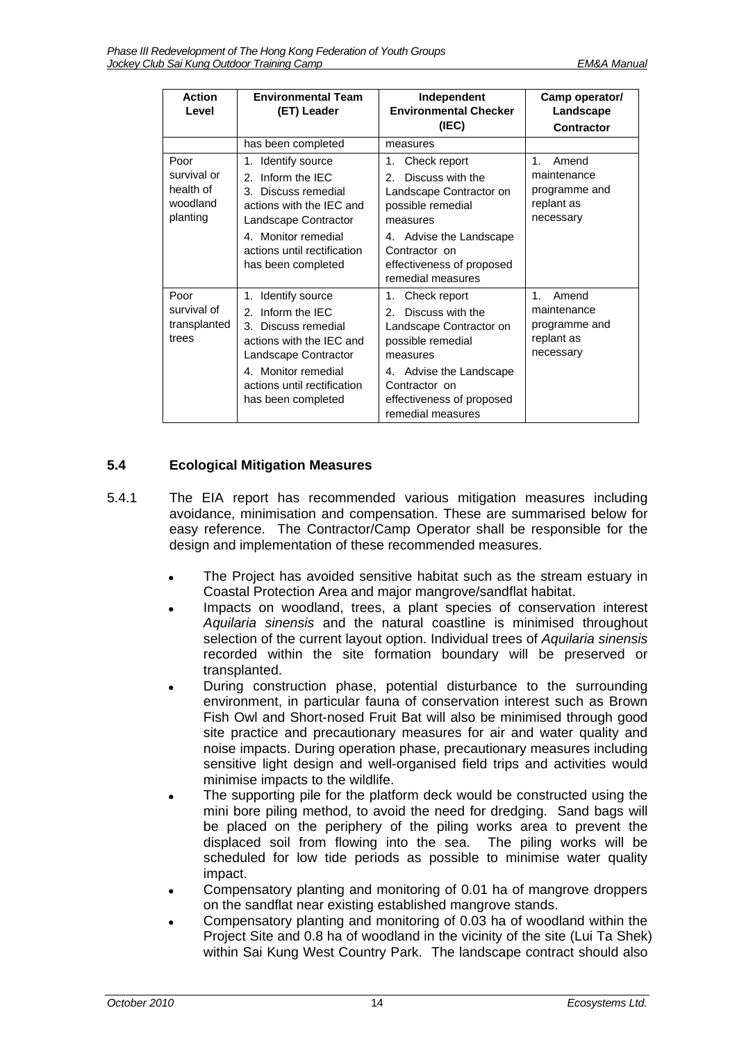| <b>Action</b><br>Level                                   | <b>Environmental Team</b><br>Independent<br><b>Environmental Checker</b><br>(ET) Leader<br>(IEC)                                                                                                        |                                                                                                                                                                                                                   | Camp operator/<br>Landscape<br><b>Contractor</b>                            |
|----------------------------------------------------------|---------------------------------------------------------------------------------------------------------------------------------------------------------------------------------------------------------|-------------------------------------------------------------------------------------------------------------------------------------------------------------------------------------------------------------------|-----------------------------------------------------------------------------|
|                                                          | has been completed                                                                                                                                                                                      | measures                                                                                                                                                                                                          |                                                                             |
| Poor<br>survival or<br>health of<br>woodland<br>planting | 1. Identify source<br>Inform the IEC<br>2.<br>3. Discuss remedial<br>actions with the IEC and<br>Landscape Contractor<br>4. Monitor remedial<br>actions until rectification<br>has been completed       | Check report<br>1.<br>Discuss with the<br>$\mathcal{P}$<br>Landscape Contractor on<br>possible remedial<br>measures<br>4. Advise the Landscape<br>Contractor on<br>effectiveness of proposed<br>remedial measures | $1_{-}$<br>Amend<br>maintenance<br>programme and<br>replant as<br>necessary |
| Poor<br>survival of<br>transplanted<br>trees             | Identify source<br>1.<br>Inform the IEC<br>2.<br>Discuss remedial<br>3.<br>actions with the IEC and<br>Landscape Contractor<br>4. Monitor remedial<br>actions until rectification<br>has been completed | Check report<br>1.<br>Discuss with the<br>$\mathcal{P}$<br>Landscape Contractor on<br>possible remedial<br>measures<br>4. Advise the Landscape<br>Contractor on<br>effectiveness of proposed<br>remedial measures | 1<br>Amend<br>maintenance<br>programme and<br>replant as<br>necessary       |

# <span id="page-15-0"></span>**5.4 Ecological Mitigation Measures**

- 5.4.1 The EIA report has recommended various mitigation measures including avoidance, minimisation and compensation. These are summarised below for easy reference. The Contractor/Camp Operator shall be responsible for the design and implementation of these recommended measures.
	- The Project has avoided sensitive habitat such as the stream estuary in Coastal Protection Area and major mangrove/sandflat habitat.
	- Impacts on woodland, trees, a plant species of conservation interest *Aquilaria sinensis* and the natural coastline is minimised throughout selection of the current layout option. Individual trees of *Aquilaria sinensis*  recorded within the site formation boundary will be preserved or transplanted.
	- During construction phase, potential disturbance to the surrounding environment, in particular fauna of conservation interest such as Brown Fish Owl and Short-nosed Fruit Bat will also be minimised through good site practice and precautionary measures for air and water quality and noise impacts. During operation phase, precautionary measures including sensitive light design and well-organised field trips and activities would minimise impacts to the wildlife.
	- The supporting pile for the platform deck would be constructed using the mini bore piling method, to avoid the need for dredging. Sand bags will be placed on the periphery of the piling works area to prevent the displaced soil from flowing into the sea. The piling works will be scheduled for low tide periods as possible to minimise water quality impact.
	- Compensatory planting and monitoring of 0.01 ha of mangrove droppers on the sandflat near existing established mangrove stands.
	- Compensatory planting and monitoring of 0.03 ha of woodland within the Project Site and 0.8 ha of woodland in the vicinity of the site (Lui Ta Shek) within Sai Kung West Country Park. The landscape contract should also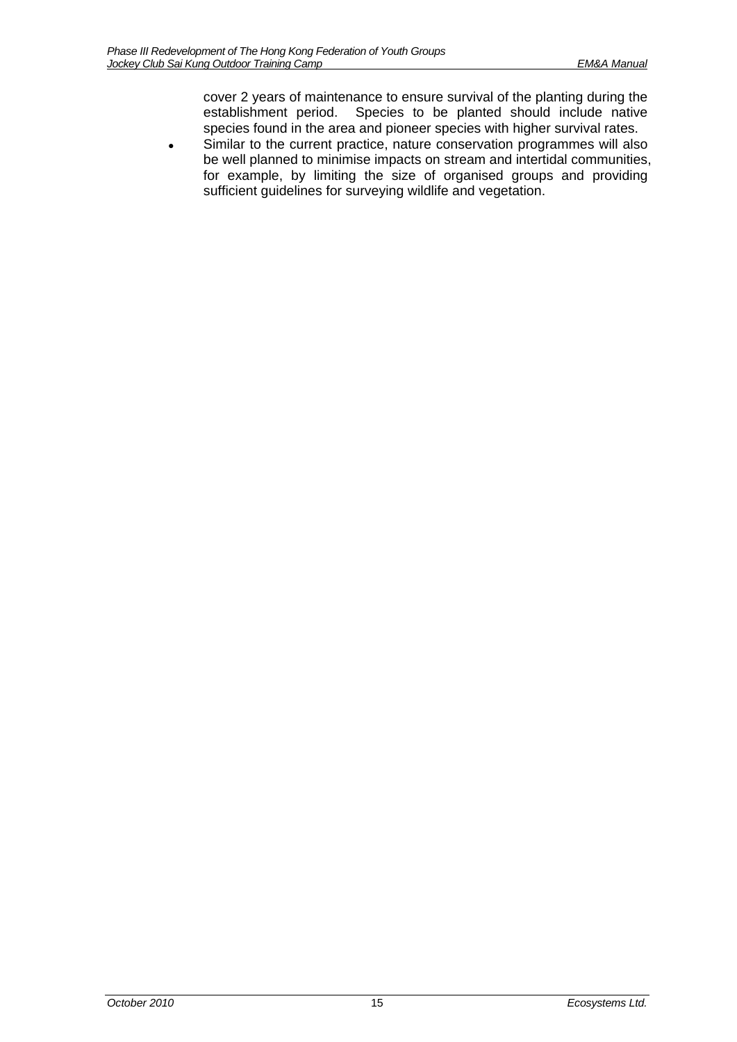cover 2 years of maintenance to ensure survival of the planting during the establishment period. Species to be planted should include native species found in the area and pioneer species with higher survival rates.

 Similar to the current practice, nature conservation programmes will also be well planned to minimise impacts on stream and intertidal communities, for example, by limiting the size of organised groups and providing sufficient guidelines for surveying wildlife and vegetation.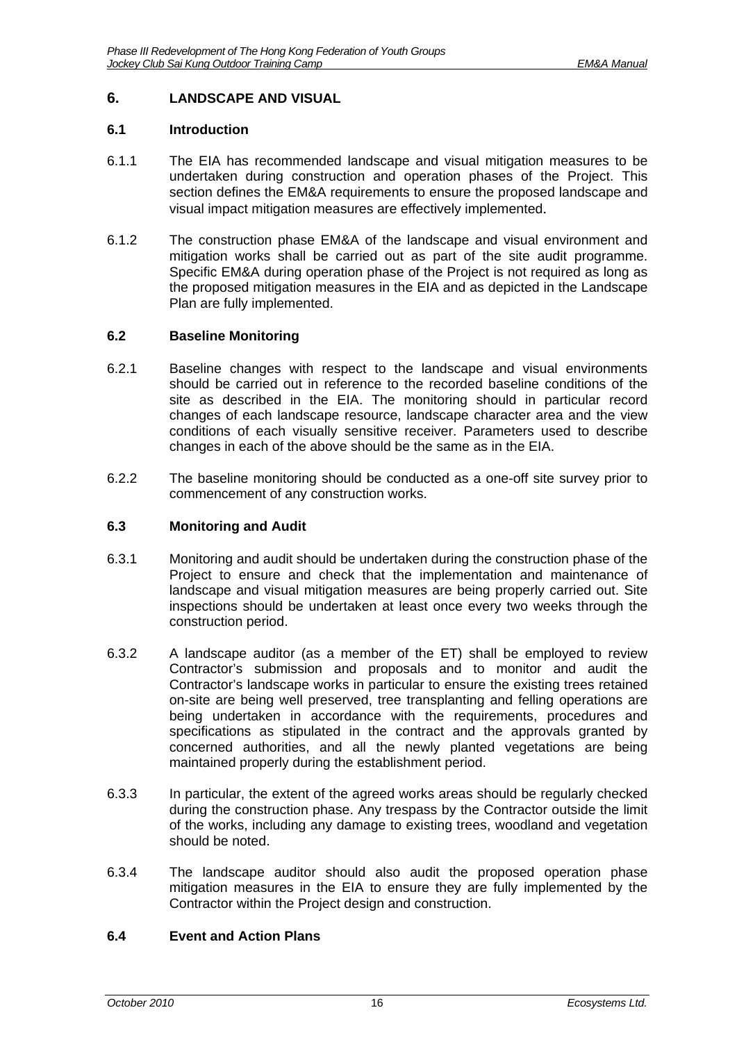# <span id="page-17-0"></span>**6. LANDSCAPE AND VISUAL**

### <span id="page-17-1"></span>**6.1 Introduction**

- 6.1.1 The EIA has recommended landscape and visual mitigation measures to be undertaken during construction and operation phases of the Project. This section defines the EM&A requirements to ensure the proposed landscape and visual impact mitigation measures are effectively implemented.
- 6.1.2 The construction phase EM&A of the landscape and visual environment and mitigation works shall be carried out as part of the site audit programme. Specific EM&A during operation phase of the Project is not required as long as the proposed mitigation measures in the EIA and as depicted in the Landscape Plan are fully implemented.

### <span id="page-17-2"></span>**6.2 Baseline Monitoring**

- 6.2.1 Baseline changes with respect to the landscape and visual environments should be carried out in reference to the recorded baseline conditions of the site as described in the EIA. The monitoring should in particular record changes of each landscape resource, landscape character area and the view conditions of each visually sensitive receiver. Parameters used to describe changes in each of the above should be the same as in the EIA.
- 6.2.2 The baseline monitoring should be conducted as a one-off site survey prior to commencement of any construction works.

### <span id="page-17-3"></span>**6.3 Monitoring and Audit**

- 6.3.1 Monitoring and audit should be undertaken during the construction phase of the Project to ensure and check that the implementation and maintenance of landscape and visual mitigation measures are being properly carried out. Site inspections should be undertaken at least once every two weeks through the construction period.
- 6.3.2 A landscape auditor (as a member of the ET) shall be employed to review Contractor's submission and proposals and to monitor and audit the Contractor's landscape works in particular to ensure the existing trees retained on-site are being well preserved, tree transplanting and felling operations are being undertaken in accordance with the requirements, procedures and specifications as stipulated in the contract and the approvals granted by concerned authorities, and all the newly planted vegetations are being maintained properly during the establishment period.
- 6.3.3 In particular, the extent of the agreed works areas should be regularly checked during the construction phase. Any trespass by the Contractor outside the limit of the works, including any damage to existing trees, woodland and vegetation should be noted.
- 6.3.4 The landscape auditor should also audit the proposed operation phase mitigation measures in the EIA to ensure they are fully implemented by the Contractor within the Project design and construction.

### <span id="page-17-4"></span>**6.4 Event and Action Plans**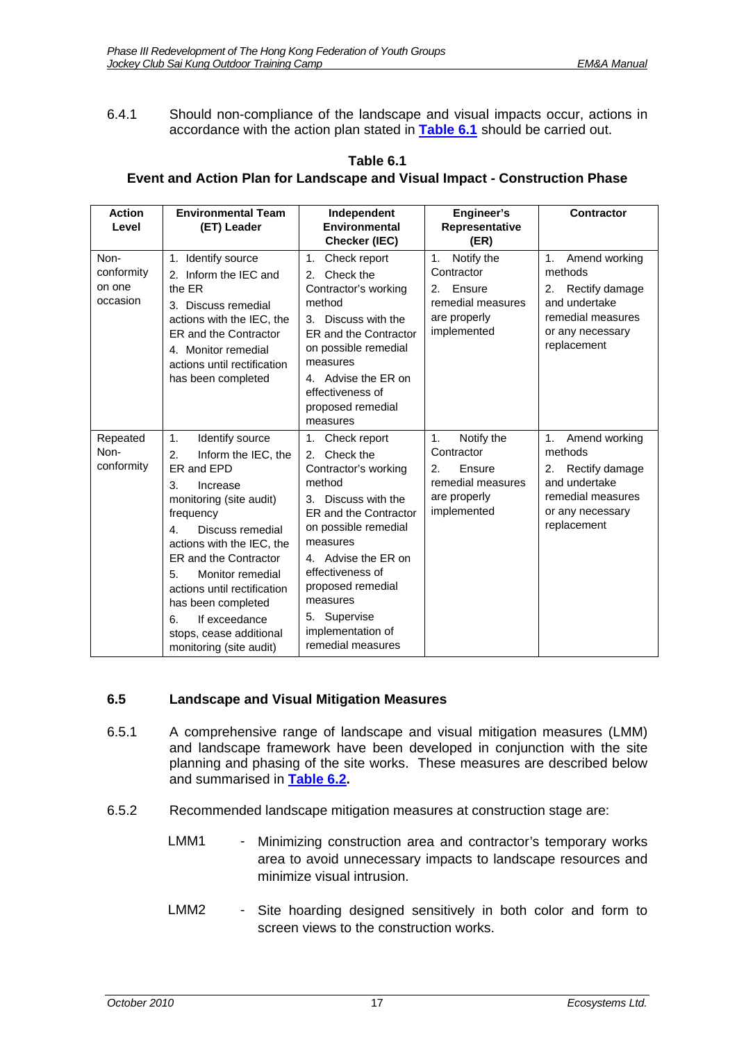6.4.1 Should non-compliance of the landscape and visual impacts occur, actions in accordance with the action plan stated in **[Table 6.1](#page-18-1)** should be carried out.

<span id="page-18-1"></span>

| <b>Action</b><br>Level | <b>Environmental Team</b><br>(ET) Leader                                                                                                                                       | Independent<br><b>Environmental</b><br>Checker (IEC)                                                                  | Engineer's<br>Representative<br>(ER)                             | <b>Contractor</b>                                                                             |
|------------------------|--------------------------------------------------------------------------------------------------------------------------------------------------------------------------------|-----------------------------------------------------------------------------------------------------------------------|------------------------------------------------------------------|-----------------------------------------------------------------------------------------------|
| Non-<br>conformity     | Identify source<br>1.<br>2. Inform the IEC and                                                                                                                                 | Check report<br>1.<br>2. Check the                                                                                    | Notify the<br>1.<br>Contractor                                   | Amend working<br>methods                                                                      |
| on one<br>occasion     | the ER<br>3. Discuss remedial<br>actions with the IEC, the<br>ER and the Contractor<br>4. Monitor remedial<br>actions until rectification<br>المستقط ومستحدث ومستحدث والمستحيل | Contractor's working<br>method<br>Discuss with the<br>3.<br>ER and the Contractor<br>on possible remedial<br>measures | Ensure<br>2.<br>remedial measures<br>are properly<br>implemented | Rectify damage<br>2.<br>and undertake<br>remedial measures<br>or any necessary<br>replacement |

### **Table 6.1 Event and Action Plan for Landscape and Visual Impact - Construction Phase**

|                                | ER and the Contractor<br>4. Monitor remedial<br>actions until rectification<br>has been completed                                                                                                                                                                                                                                                                      | ER and the Contractor<br>on possible remedial<br>measures<br>4. Advise the ER on<br>effectiveness of<br>proposed remedial<br>measures                                                                                                                                                             | $\mathbf{u}$                                                                                       | u any noocooany<br>replacement                                                                                                  |
|--------------------------------|------------------------------------------------------------------------------------------------------------------------------------------------------------------------------------------------------------------------------------------------------------------------------------------------------------------------------------------------------------------------|---------------------------------------------------------------------------------------------------------------------------------------------------------------------------------------------------------------------------------------------------------------------------------------------------|----------------------------------------------------------------------------------------------------|---------------------------------------------------------------------------------------------------------------------------------|
| Repeated<br>Non-<br>conformity | Identify source<br>1.<br>Inform the IEC, the<br>2.<br>ER and EPD<br>3.<br>Increase<br>monitoring (site audit)<br>frequency<br>Discuss remedial<br>4.<br>actions with the IEC, the<br>ER and the Contractor<br>Monitor remedial<br>5.<br>actions until rectification<br>has been completed<br>If exceedance<br>6.<br>stops, cease additional<br>monitoring (site audit) | Check report<br>1.<br>Check the<br>2.<br>Contractor's working<br>method<br>Discuss with the<br>3.<br>ER and the Contractor<br>on possible remedial<br>measures<br>Advise the ER on<br>effectiveness of<br>proposed remedial<br>measures<br>5. Supervise<br>implementation of<br>remedial measures | Notify the<br>1.<br>Contractor<br>Ensure<br>2.<br>remedial measures<br>are properly<br>implemented | Amend working<br>1.<br>methods<br>Rectify damage<br>2.<br>and undertake<br>remedial measures<br>or any necessary<br>replacement |

# <span id="page-18-0"></span>**6.5 Landscape and Visual Mitigation Measures**

- 6.5.1 A comprehensive range of landscape and visual mitigation measures (LMM) and landscape framework have been developed in conjunction with the site planning and phasing of the site works. These measures are described below and summarised in **[Table 6.2.](#page-21-0)**
- 6.5.2 Recommended landscape mitigation measures at construction stage are:
	- LMM1 Minimizing construction area and contractor's temporary works area to avoid unnecessary impacts to landscape resources and minimize visual intrusion.
	- LMM2 Site hoarding designed sensitively in both color and form to screen views to the construction works.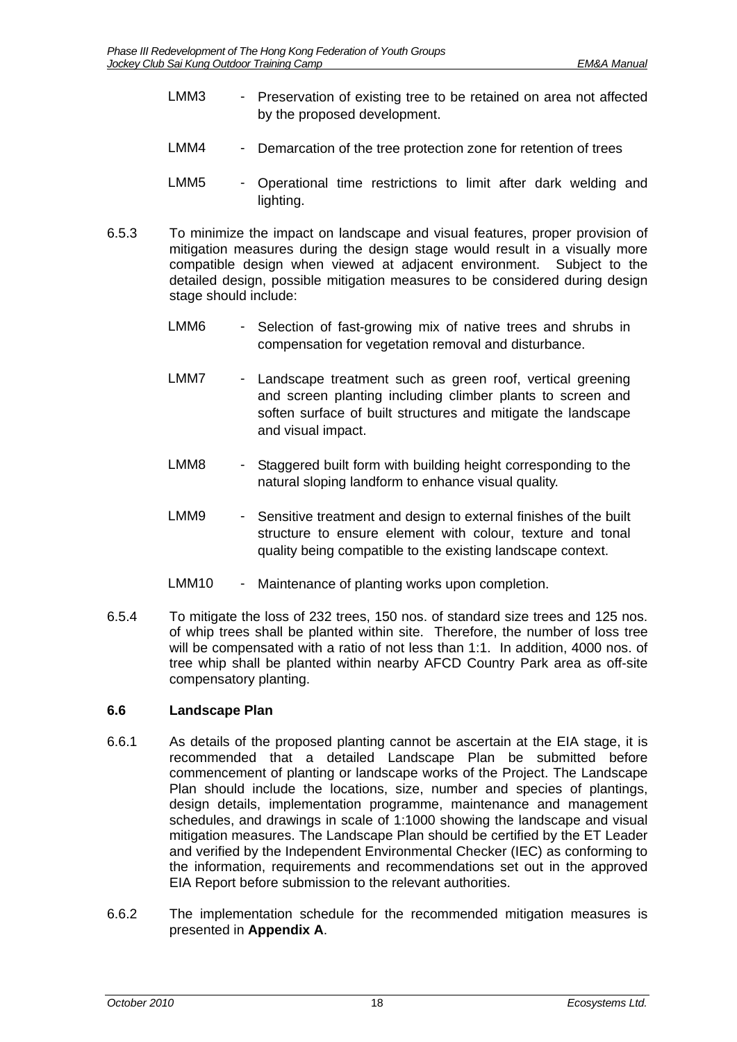- LMM3 Preservation of existing tree to be retained on area not affected by the proposed development.
- LMM4 Demarcation of the tree protection zone for retention of trees
- LMM5 Operational time restrictions to limit after dark welding and lighting.
- 6.5.3 To minimize the impact on landscape and visual features, proper provision of mitigation measures during the design stage would result in a visually more compatible design when viewed at adjacent environment. Subject to the detailed design, possible mitigation measures to be considered during design stage should include:
	- LMM6 Selection of fast-growing mix of native trees and shrubs in compensation for vegetation removal and disturbance.
	- LMM7 Landscape treatment such as green roof, vertical greening and screen planting including climber plants to screen and soften surface of built structures and mitigate the landscape and visual impact.
	- LMM8 Staggered built form with building height corresponding to the natural sloping landform to enhance visual quality.
	- LMM9 Sensitive treatment and design to external finishes of the built structure to ensure element with colour, texture and tonal quality being compatible to the existing landscape context.
	- LMM10 Maintenance of planting works upon completion.
- 6.5.4 To mitigate the loss of 232 trees, 150 nos. of standard size trees and 125 nos. of whip trees shall be planted within site. Therefore, the number of loss tree will be compensated with a ratio of not less than 1:1. In addition, 4000 nos. of tree whip shall be planted within nearby AFCD Country Park area as off-site compensatory planting.

### <span id="page-19-0"></span>**6.6 Landscape Plan**

- 6.6.1 As details of the proposed planting cannot be ascertain at the EIA stage, it is recommended that a detailed Landscape Plan be submitted before commencement of planting or landscape works of the Project. The Landscape Plan should include the locations, size, number and species of plantings, design details, implementation programme, maintenance and management schedules, and drawings in scale of 1:1000 showing the landscape and visual mitigation measures. The Landscape Plan should be certified by the ET Leader and verified by the Independent Environmental Checker (IEC) as conforming to the information, requirements and recommendations set out in the approved EIA Report before submission to the relevant authorities.
- 6.6.2 The implementation schedule for the recommended mitigation measures is presented in **Appendix A**.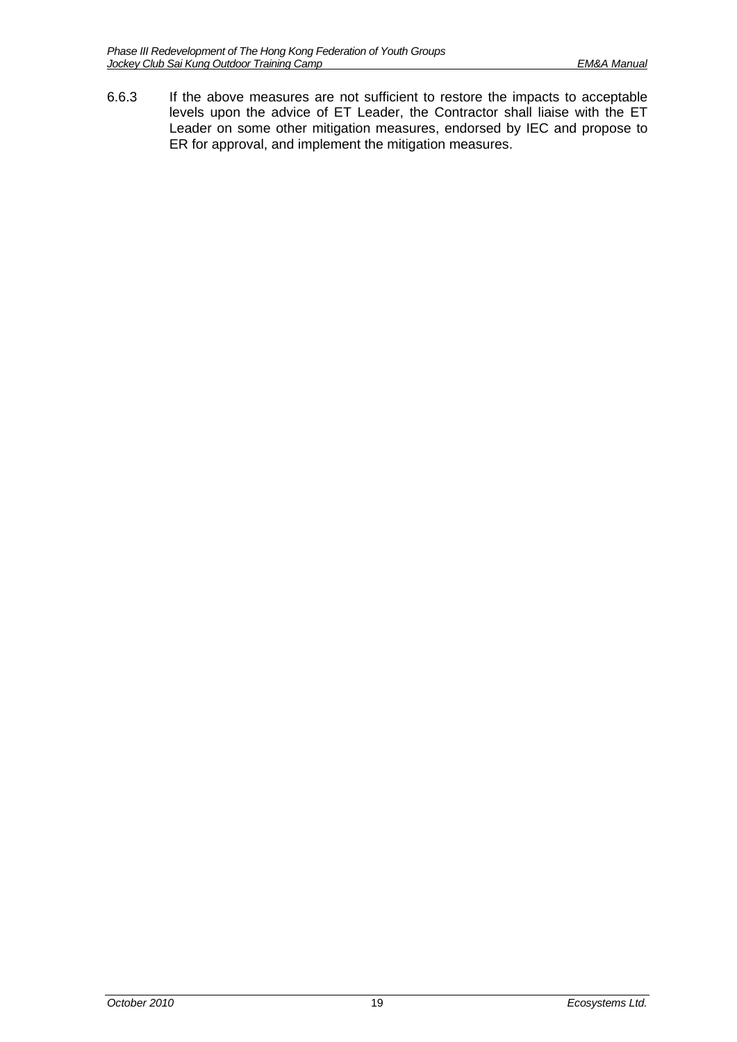6.6.3 If the above measures are not sufficient to restore the impacts to acceptable levels upon the advice of ET Leader, the Contractor shall liaise with the ET Leader on some other mitigation measures, endorsed by IEC and propose to ER for approval, and implement the mitigation measures.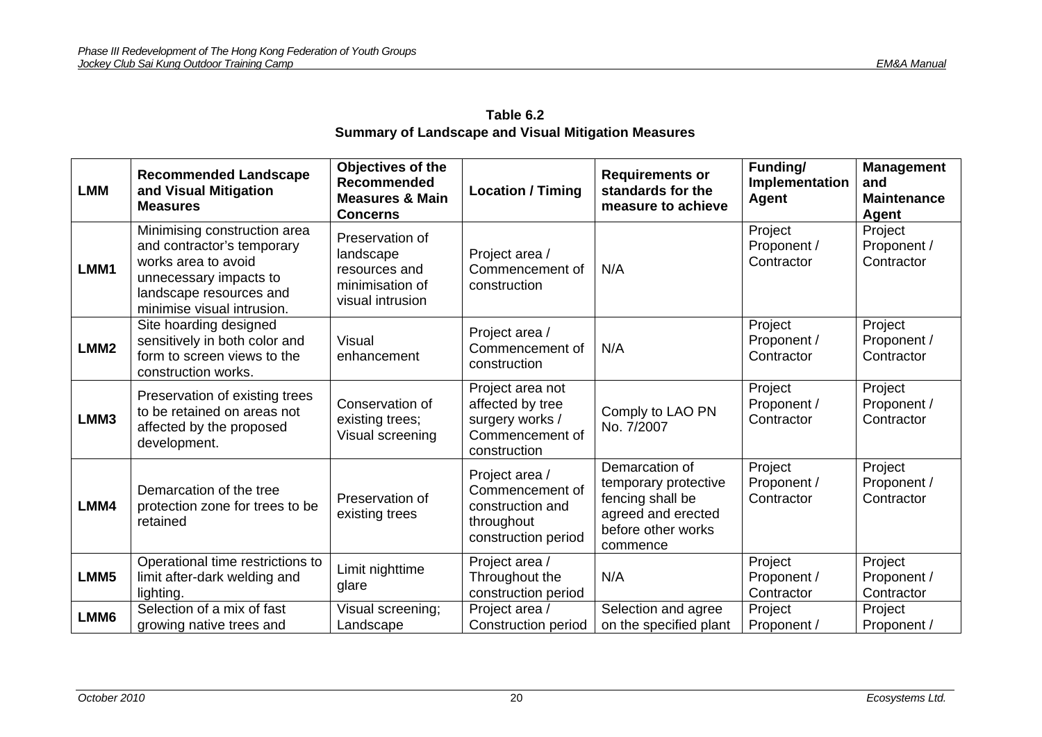|                  | Summary of Landscape and Visual Mitigation Measures                                                                                                                  |                                                                                          |                                                                                            |                                                                                                                    |                                      |                                                         |  |  |
|------------------|----------------------------------------------------------------------------------------------------------------------------------------------------------------------|------------------------------------------------------------------------------------------|--------------------------------------------------------------------------------------------|--------------------------------------------------------------------------------------------------------------------|--------------------------------------|---------------------------------------------------------|--|--|
| <b>LMM</b>       | <b>Recommended Landscape</b><br>and Visual Mitigation<br><b>Measures</b>                                                                                             | Objectives of the<br><b>Recommended</b><br><b>Measures &amp; Main</b><br><b>Concerns</b> | <b>Location / Timing</b>                                                                   | <b>Requirements or</b><br>standards for the<br>measure to achieve                                                  | Funding/<br>Implementation<br>Agent  | <b>Management</b><br>and<br><b>Maintenance</b><br>Agent |  |  |
| LMM1             | Minimising construction area<br>and contractor's temporary<br>works area to avoid<br>unnecessary impacts to<br>landscape resources and<br>minimise visual intrusion. | Preservation of<br>landscape<br>resources and<br>minimisation of<br>visual intrusion     | Project area /<br>Commencement of<br>construction                                          | N/A                                                                                                                | Project<br>Proponent /<br>Contractor | Project<br>Proponent /<br>Contractor                    |  |  |
| LMM <sub>2</sub> | Site hoarding designed<br>sensitively in both color and<br>form to screen views to the<br>construction works.                                                        | Visual<br>enhancement                                                                    | Project area /<br>Commencement of<br>construction                                          | N/A                                                                                                                | Project<br>Proponent /<br>Contractor | Project<br>Proponent /<br>Contractor                    |  |  |
| LMM3             | Preservation of existing trees<br>to be retained on areas not<br>affected by the proposed<br>development.                                                            | Conservation of<br>existing trees;<br>Visual screening                                   | Project area not<br>affected by tree<br>surgery works /<br>Commencement of<br>construction | Comply to LAO PN<br>No. 7/2007                                                                                     | Project<br>Proponent /<br>Contractor | Project<br>Proponent /<br>Contractor                    |  |  |
| LMM4             | Demarcation of the tree<br>protection zone for trees to be<br>retained                                                                                               | Preservation of<br>existing trees                                                        | Project area /<br>Commencement of<br>construction and<br>throughout<br>construction period | Demarcation of<br>temporary protective<br>fencing shall be<br>agreed and erected<br>before other works<br>commence | Project<br>Proponent /<br>Contractor | Project<br>Proponent /<br>Contractor                    |  |  |
|                  | Operational time restrictions to                                                                                                                                     | <b>Line it in industrian a</b>                                                           | Project area /                                                                             |                                                                                                                    | Project                              | Project                                                 |  |  |

| Table 6.2                                                  |
|------------------------------------------------------------|
| <b>Summary of Landscape and Visual Mitigation Measures</b> |

**LMM5** 

limit after-dark welding and

Limit nighttime

glare

lighting.

Proponent / Contractor

Proponent / Contractor

Throughout the construction period

<span id="page-21-0"></span>LMM6 Selection of a mix of fast | Visual screening; | Project area / Construction and agree | Project | Project<br>| Gonstruction period | on the specified plant | Proponent / Proponent / Proponent / Proponent / Proponent /

N/A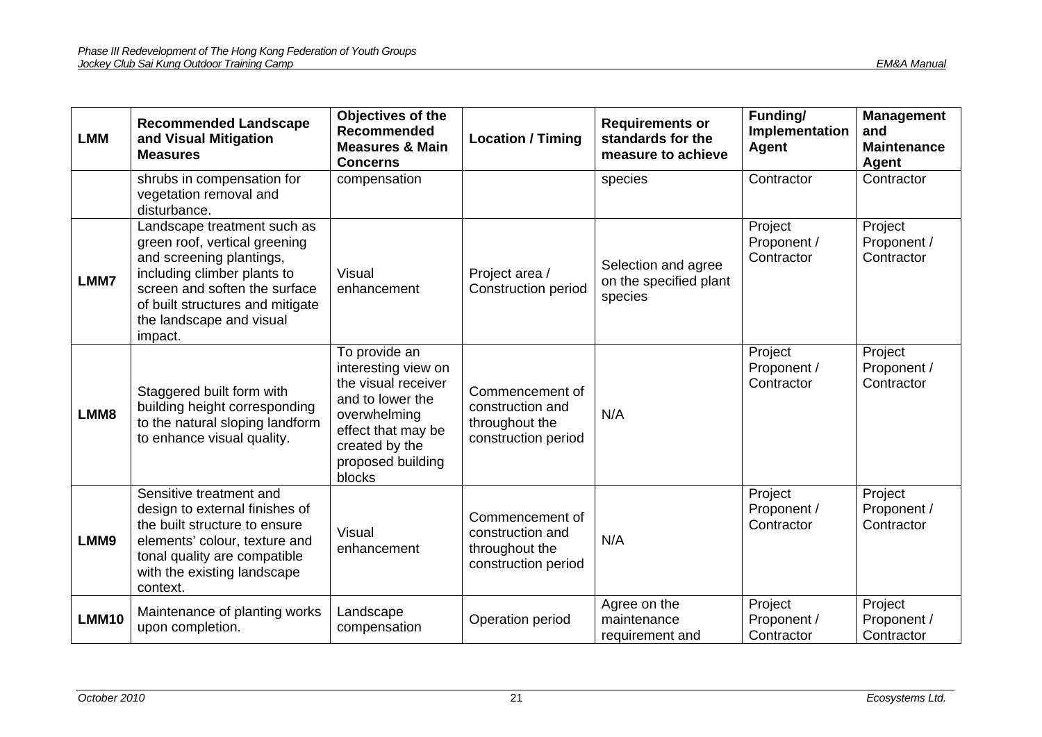| <b>LMM</b>   | <b>Recommended Landscape</b><br>and Visual Mitigation<br><b>Measures</b>                                                                                                                                                            | Objectives of the<br><b>Recommended</b><br><b>Measures &amp; Main</b><br><b>Concerns</b>                                                                               | <b>Location / Timing</b>                                                     | <b>Requirements or</b><br>standards for the<br>measure to achieve | Funding/<br>Implementation<br>Agent  | <b>Management</b><br>and<br><b>Maintenance</b><br>Agent |
|--------------|-------------------------------------------------------------------------------------------------------------------------------------------------------------------------------------------------------------------------------------|------------------------------------------------------------------------------------------------------------------------------------------------------------------------|------------------------------------------------------------------------------|-------------------------------------------------------------------|--------------------------------------|---------------------------------------------------------|
|              | shrubs in compensation for<br>vegetation removal and<br>disturbance.                                                                                                                                                                | compensation                                                                                                                                                           |                                                                              | species                                                           | Contractor                           | Contractor                                              |
| <b>LMM7</b>  | Landscape treatment such as<br>green roof, vertical greening<br>and screening plantings,<br>including climber plants to<br>screen and soften the surface<br>of built structures and mitigate<br>the landscape and visual<br>impact. | <b>Visual</b><br>enhancement                                                                                                                                           | Project area /<br><b>Construction period</b>                                 | Selection and agree<br>on the specified plant<br>species          | Project<br>Proponent /<br>Contractor | Project<br>Proponent /<br>Contractor                    |
| LMM8         | Staggered built form with<br>building height corresponding<br>to the natural sloping landform<br>to enhance visual quality.                                                                                                         | To provide an<br>interesting view on<br>the visual receiver<br>and to lower the<br>overwhelming<br>effect that may be<br>created by the<br>proposed building<br>blocks | Commencement of<br>construction and<br>throughout the<br>construction period | N/A                                                               | Project<br>Proponent /<br>Contractor | Project<br>Proponent /<br>Contractor                    |
| LMM9         | Sensitive treatment and<br>design to external finishes of<br>the built structure to ensure<br>elements' colour, texture and<br>tonal quality are compatible<br>with the existing landscape<br>context.                              | Visual<br>enhancement                                                                                                                                                  | Commencement of<br>construction and<br>throughout the<br>construction period | N/A                                                               | Project<br>Proponent /<br>Contractor | Project<br>Proponent /<br>Contractor                    |
| <b>LMM10</b> | Maintenance of planting works<br>upon completion.                                                                                                                                                                                   | Landscape<br>compensation                                                                                                                                              | Operation period                                                             | Agree on the<br>maintenance<br>requirement and                    | Project<br>Proponent /<br>Contractor | Project<br>Proponent /<br>Contractor                    |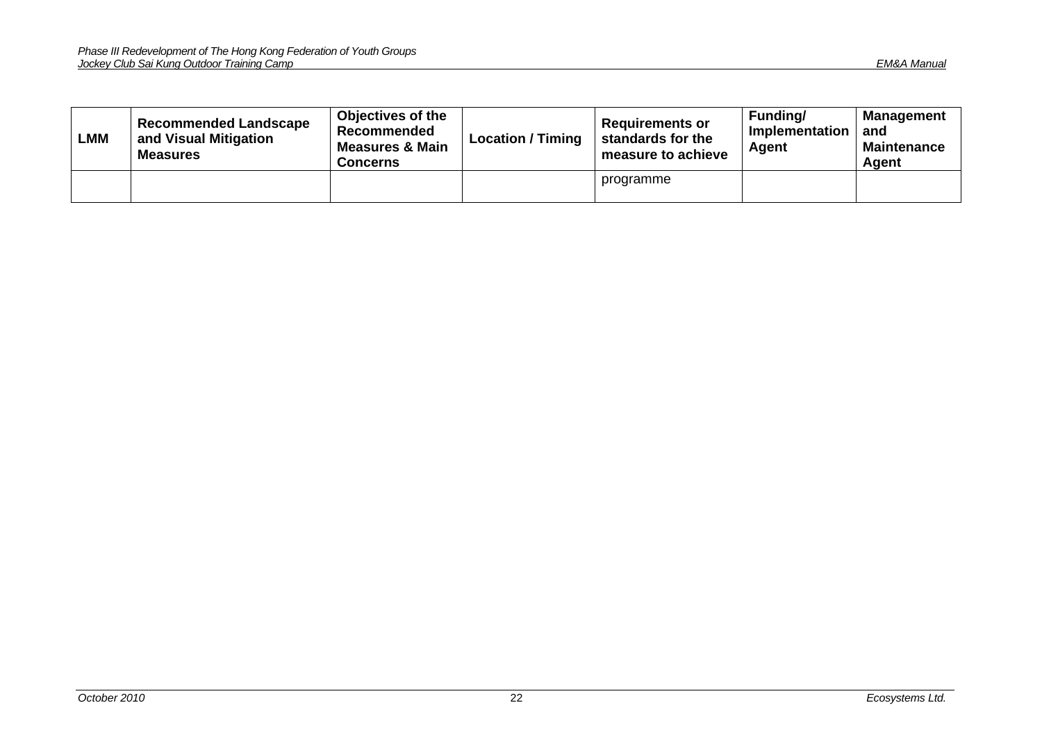| LMM | <b>Recommended Landscape</b><br>and Visual Mitigation<br><b>Measures</b> | <b>Objectives of the</b><br><b>Recommended</b><br><b>Measures &amp; Main</b><br>Concerns | <b>Location / Timing</b> | <b>Requirements or</b><br>standards for the<br>measure to achieve | Funding/<br>Implementation<br>Agent | <b>Management</b><br>and<br><b>Maintenance</b><br>Agent |
|-----|--------------------------------------------------------------------------|------------------------------------------------------------------------------------------|--------------------------|-------------------------------------------------------------------|-------------------------------------|---------------------------------------------------------|
|     |                                                                          |                                                                                          |                          | programme                                                         |                                     |                                                         |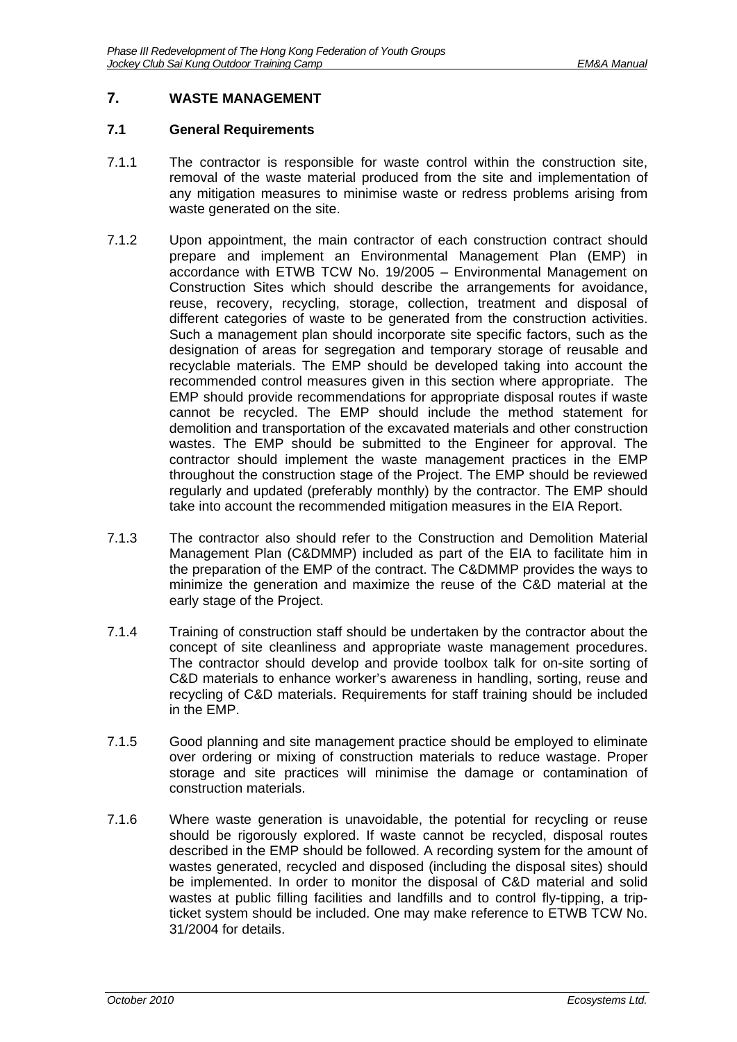### <span id="page-24-0"></span>**7. WASTE MANAGEMENT**

#### <span id="page-24-1"></span>**7.1 General Requirements**

- 7.1.1 The contractor is responsible for waste control within the construction site, removal of the waste material produced from the site and implementation of any mitigation measures to minimise waste or redress problems arising from waste generated on the site.
- 7.1.2 Upon appointment, the main contractor of each construction contract should prepare and implement an Environmental Management Plan (EMP) in accordance with ETWB TCW No. 19/2005 – Environmental Management on Construction Sites which should describe the arrangements for avoidance, reuse, recovery, recycling, storage, collection, treatment and disposal of different categories of waste to be generated from the construction activities. Such a management plan should incorporate site specific factors, such as the designation of areas for segregation and temporary storage of reusable and recyclable materials. The EMP should be developed taking into account the recommended control measures given in this section where appropriate. The EMP should provide recommendations for appropriate disposal routes if waste cannot be recycled. The EMP should include the method statement for demolition and transportation of the excavated materials and other construction wastes. The EMP should be submitted to the Engineer for approval. The contractor should implement the waste management practices in the EMP throughout the construction stage of the Project. The EMP should be reviewed regularly and updated (preferably monthly) by the contractor. The EMP should take into account the recommended mitigation measures in the EIA Report.
- 7.1.3 The contractor also should refer to the Construction and Demolition Material Management Plan (C&DMMP) included as part of the EIA to facilitate him in the preparation of the EMP of the contract. The C&DMMP provides the ways to minimize the generation and maximize the reuse of the C&D material at the early stage of the Project.
- 7.1.4 Training of construction staff should be undertaken by the contractor about the concept of site cleanliness and appropriate waste management procedures. The contractor should develop and provide toolbox talk for on-site sorting of C&D materials to enhance worker's awareness in handling, sorting, reuse and recycling of C&D materials. Requirements for staff training should be included in the EMP.
- 7.1.5 Good planning and site management practice should be employed to eliminate over ordering or mixing of construction materials to reduce wastage. Proper storage and site practices will minimise the damage or contamination of construction materials.
- 7.1.6 Where waste generation is unavoidable, the potential for recycling or reuse should be rigorously explored. If waste cannot be recycled, disposal routes described in the EMP should be followed. A recording system for the amount of wastes generated, recycled and disposed (including the disposal sites) should be implemented. In order to monitor the disposal of C&D material and solid wastes at public filling facilities and landfills and to control fly-tipping, a tripticket system should be included. One may make reference to ETWB TCW No. 31/2004 for details.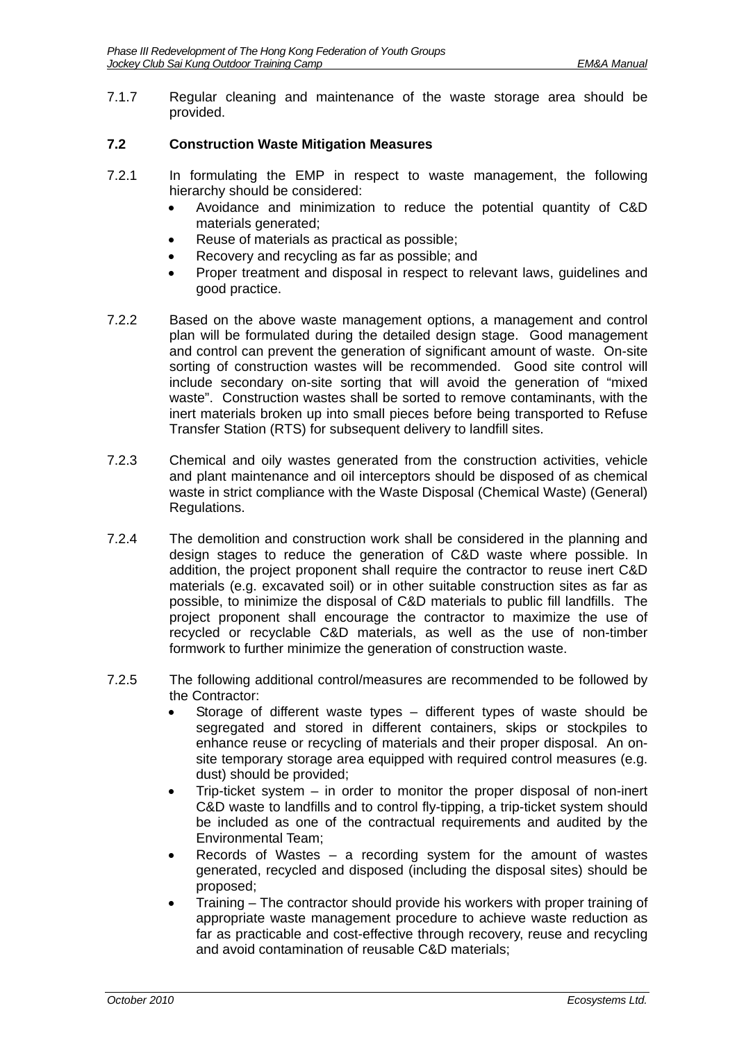7.1.7 Regular cleaning and maintenance of the waste storage area should be provided.

### <span id="page-25-0"></span>**7.2 Construction Waste Mitigation Measures**

- 7.2.1 In formulating the EMP in respect to waste management, the following hierarchy should be considered:
	- Avoidance and minimization to reduce the potential quantity of C&D materials generated;
	- Reuse of materials as practical as possible;
	- Recovery and recycling as far as possible; and
	- Proper treatment and disposal in respect to relevant laws, guidelines and good practice.
- 7.2.2 Based on the above waste management options, a management and control plan will be formulated during the detailed design stage. Good management and control can prevent the generation of significant amount of waste. On-site sorting of construction wastes will be recommended. Good site control will include secondary on-site sorting that will avoid the generation of "mixed waste". Construction wastes shall be sorted to remove contaminants, with the inert materials broken up into small pieces before being transported to Refuse Transfer Station (RTS) for subsequent delivery to landfill sites.
- 7.2.3 Chemical and oily wastes generated from the construction activities, vehicle and plant maintenance and oil interceptors should be disposed of as chemical waste in strict compliance with the Waste Disposal (Chemical Waste) (General) Regulations.
- 7.2.4 The demolition and construction work shall be considered in the planning and design stages to reduce the generation of C&D waste where possible. In addition, the project proponent shall require the contractor to reuse inert C&D materials (e.g. excavated soil) or in other suitable construction sites as far as possible, to minimize the disposal of C&D materials to public fill landfills. The project proponent shall encourage the contractor to maximize the use of recycled or recyclable C&D materials, as well as the use of non-timber formwork to further minimize the generation of construction waste.
- 7.2.5 The following additional control/measures are recommended to be followed by the Contractor:
	- Storage of different waste types different types of waste should be segregated and stored in different containers, skips or stockpiles to enhance reuse or recycling of materials and their proper disposal. An onsite temporary storage area equipped with required control measures (e.g. dust) should be provided;
	- Trip-ticket system in order to monitor the proper disposal of non-inert C&D waste to landfills and to control fly-tipping, a trip-ticket system should be included as one of the contractual requirements and audited by the Environmental Team;
	- Records of Wastes a recording system for the amount of wastes generated, recycled and disposed (including the disposal sites) should be proposed;
	- Training The contractor should provide his workers with proper training of appropriate waste management procedure to achieve waste reduction as far as practicable and cost-effective through recovery, reuse and recycling and avoid contamination of reusable C&D materials;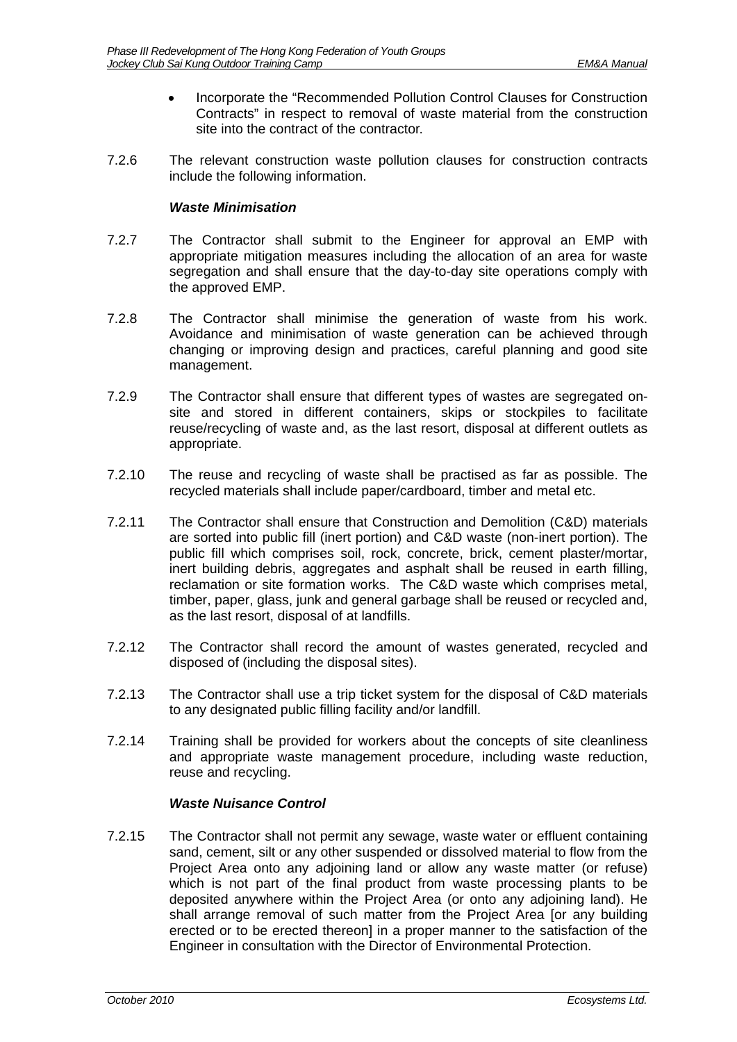- Incorporate the "Recommended Pollution Control Clauses for Construction Contracts" in respect to removal of waste material from the construction site into the contract of the contractor.
- 7.2.6 The relevant construction waste pollution clauses for construction contracts include the following information.

#### *Waste Minimisation*

- 7.2.7 The Contractor shall submit to the Engineer for approval an EMP with appropriate mitigation measures including the allocation of an area for waste segregation and shall ensure that the day-to-day site operations comply with the approved EMP.
- 7.2.8 The Contractor shall minimise the generation of waste from his work. Avoidance and minimisation of waste generation can be achieved through changing or improving design and practices, careful planning and good site management.
- 7.2.9 The Contractor shall ensure that different types of wastes are segregated onsite and stored in different containers, skips or stockpiles to facilitate reuse/recycling of waste and, as the last resort, disposal at different outlets as appropriate.
- 7.2.10 The reuse and recycling of waste shall be practised as far as possible. The recycled materials shall include paper/cardboard, timber and metal etc.
- 7.2.11 The Contractor shall ensure that Construction and Demolition (C&D) materials are sorted into public fill (inert portion) and C&D waste (non-inert portion). The public fill which comprises soil, rock, concrete, brick, cement plaster/mortar, inert building debris, aggregates and asphalt shall be reused in earth filling, reclamation or site formation works. The C&D waste which comprises metal, timber, paper, glass, junk and general garbage shall be reused or recycled and, as the last resort, disposal of at landfills.
- 7.2.12 The Contractor shall record the amount of wastes generated, recycled and disposed of (including the disposal sites).
- 7.2.13 The Contractor shall use a trip ticket system for the disposal of C&D materials to any designated public filling facility and/or landfill.
- 7.2.14 Training shall be provided for workers about the concepts of site cleanliness and appropriate waste management procedure, including waste reduction, reuse and recycling.

### *Waste Nuisance Control*

7.2.15 The Contractor shall not permit any sewage, waste water or effluent containing sand, cement, silt or any other suspended or dissolved material to flow from the Project Area onto any adjoining land or allow any waste matter (or refuse) which is not part of the final product from waste processing plants to be deposited anywhere within the Project Area (or onto any adjoining land). He shall arrange removal of such matter from the Project Area [or any building erected or to be erected thereon] in a proper manner to the satisfaction of the Engineer in consultation with the Director of Environmental Protection.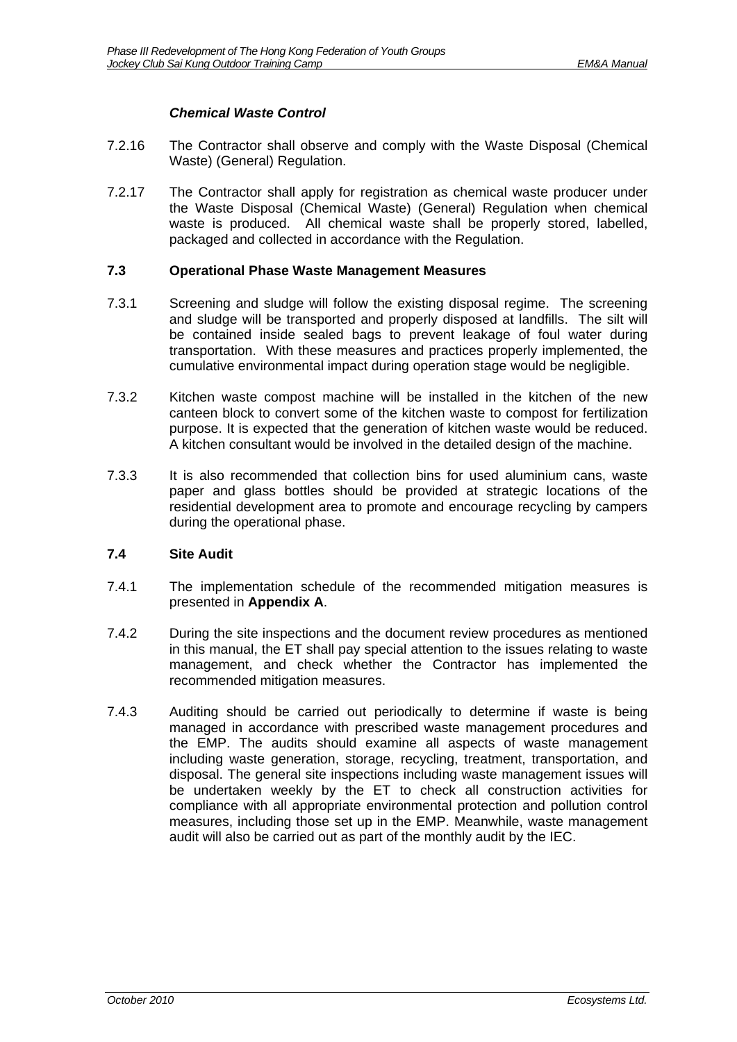# *Chemical Waste Control*

- 7.2.16 The Contractor shall observe and comply with the Waste Disposal (Chemical Waste) (General) Regulation.
- 7.2.17 The Contractor shall apply for registration as chemical waste producer under the Waste Disposal (Chemical Waste) (General) Regulation when chemical waste is produced. All chemical waste shall be properly stored, labelled, packaged and collected in accordance with the Regulation.

#### <span id="page-27-0"></span>**7.3 Operational Phase Waste Management Measures**

- 7.3.1 Screening and sludge will follow the existing disposal regime. The screening and sludge will be transported and properly disposed at landfills. The silt will be contained inside sealed bags to prevent leakage of foul water during transportation. With these measures and practices properly implemented, the cumulative environmental impact during operation stage would be negligible.
- 7.3.2 Kitchen waste compost machine will be installed in the kitchen of the new canteen block to convert some of the kitchen waste to compost for fertilization purpose. It is expected that the generation of kitchen waste would be reduced. A kitchen consultant would be involved in the detailed design of the machine.
- 7.3.3 It is also recommended that collection bins for used aluminium cans, waste paper and glass bottles should be provided at strategic locations of the residential development area to promote and encourage recycling by campers during the operational phase.

### <span id="page-27-1"></span>**7.4 Site Audit**

- 7.4.1 The implementation schedule of the recommended mitigation measures is presented in **Appendix A**.
- 7.4.2 During the site inspections and the document review procedures as mentioned in this manual, the ET shall pay special attention to the issues relating to waste management, and check whether the Contractor has implemented the recommended mitigation measures.
- 7.4.3 Auditing should be carried out periodically to determine if waste is being managed in accordance with prescribed waste management procedures and the EMP. The audits should examine all aspects of waste management including waste generation, storage, recycling, treatment, transportation, and disposal. The general site inspections including waste management issues will be undertaken weekly by the ET to check all construction activities for compliance with all appropriate environmental protection and pollution control measures, including those set up in the EMP. Meanwhile, waste management audit will also be carried out as part of the monthly audit by the IEC.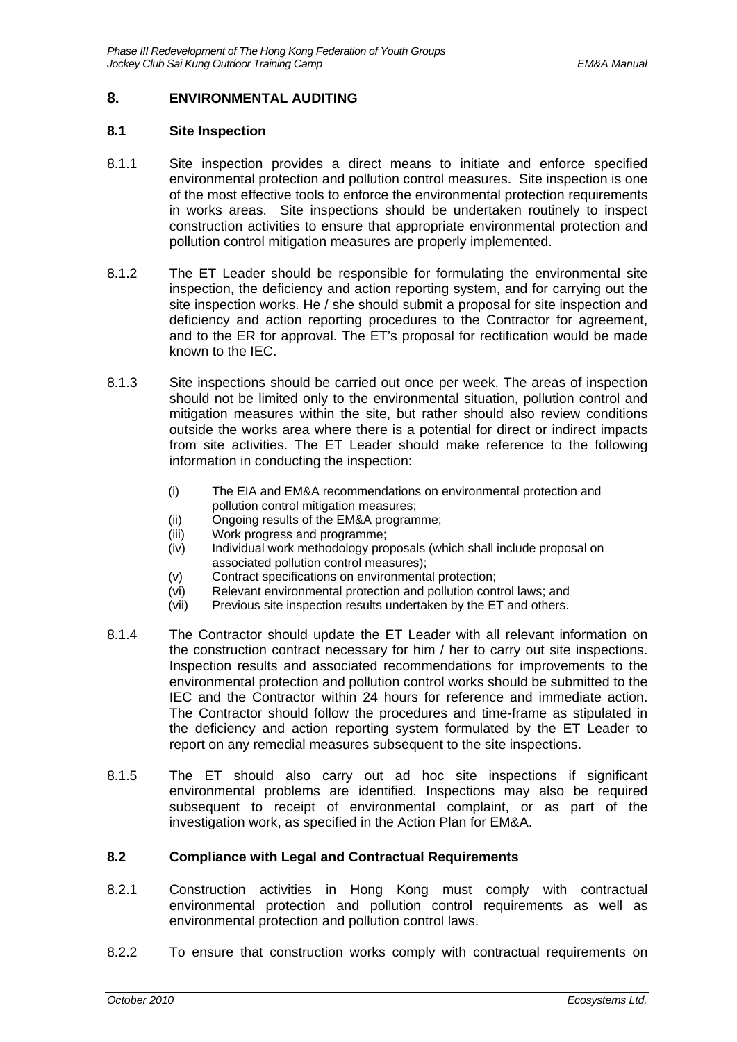### <span id="page-28-0"></span>**8. ENVIRONMENTAL AUDITING**

#### <span id="page-28-1"></span>**8.1 Site Inspection**

- 8.1.1 Site inspection provides a direct means to initiate and enforce specified environmental protection and pollution control measures. Site inspection is one of the most effective tools to enforce the environmental protection requirements in works areas. Site inspections should be undertaken routinely to inspect construction activities to ensure that appropriate environmental protection and pollution control mitigation measures are properly implemented.
- 8.1.2 The ET Leader should be responsible for formulating the environmental site inspection, the deficiency and action reporting system, and for carrying out the site inspection works. He / she should submit a proposal for site inspection and deficiency and action reporting procedures to the Contractor for agreement, and to the ER for approval. The ET's proposal for rectification would be made known to the IEC.
- 8.1.3 Site inspections should be carried out once per week. The areas of inspection should not be limited only to the environmental situation, pollution control and mitigation measures within the site, but rather should also review conditions outside the works area where there is a potential for direct or indirect impacts from site activities. The ET Leader should make reference to the following information in conducting the inspection:
	- (i) The EIA and EM&A recommendations on environmental protection and pollution control mitigation measures;
	- (ii) Ongoing results of the EM&A programme;
	- (iii) Work progress and programme;
	- (iv) Individual work methodology proposals (which shall include proposal on associated pollution control measures);
	- (v) Contract specifications on environmental protection;
	-
	- (vi) Relevant environmental protection and pollution control laws; and (vii) Previous site inspection results undertaken by the ET and others. Previous site inspection results undertaken by the ET and others.
- 8.1.4 The Contractor should update the ET Leader with all relevant information on the construction contract necessary for him / her to carry out site inspections. Inspection results and associated recommendations for improvements to the environmental protection and pollution control works should be submitted to the IEC and the Contractor within 24 hours for reference and immediate action. The Contractor should follow the procedures and time-frame as stipulated in the deficiency and action reporting system formulated by the ET Leader to report on any remedial measures subsequent to the site inspections.
- 8.1.5 The ET should also carry out ad hoc site inspections if significant environmental problems are identified. Inspections may also be required subsequent to receipt of environmental complaint, or as part of the investigation work, as specified in the Action Plan for EM&A.

#### <span id="page-28-2"></span>**8.2 Compliance with Legal and Contractual Requirements**

- 8.2.1 Construction activities in Hong Kong must comply with contractual environmental protection and pollution control requirements as well as environmental protection and pollution control laws.
- 8.2.2 To ensure that construction works comply with contractual requirements on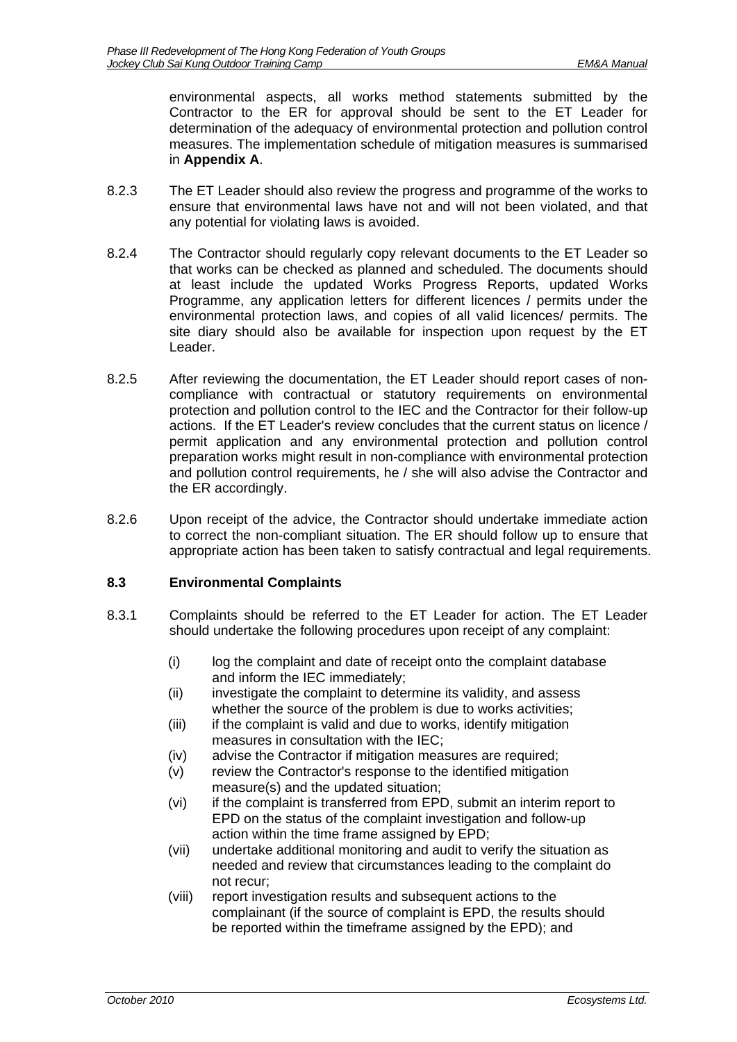environmental aspects, all works method statements submitted by the Contractor to the ER for approval should be sent to the ET Leader for determination of the adequacy of environmental protection and pollution control measures. The implementation schedule of mitigation measures is summarised in **Appendix A**.

- 8.2.3 The ET Leader should also review the progress and programme of the works to ensure that environmental laws have not and will not been violated, and that any potential for violating laws is avoided.
- 8.2.4 The Contractor should regularly copy relevant documents to the ET Leader so that works can be checked as planned and scheduled. The documents should at least include the updated Works Progress Reports, updated Works Programme, any application letters for different licences / permits under the environmental protection laws, and copies of all valid licences/ permits. The site diary should also be available for inspection upon request by the ET Leader.
- 8.2.5 After reviewing the documentation, the ET Leader should report cases of noncompliance with contractual or statutory requirements on environmental protection and pollution control to the IEC and the Contractor for their follow-up actions. If the ET Leader's review concludes that the current status on licence / permit application and any environmental protection and pollution control preparation works might result in non-compliance with environmental protection and pollution control requirements, he / she will also advise the Contractor and the ER accordingly.
- 8.2.6 Upon receipt of the advice, the Contractor should undertake immediate action to correct the non-compliant situation. The ER should follow up to ensure that appropriate action has been taken to satisfy contractual and legal requirements.

### <span id="page-29-0"></span>**8.3 Environmental Complaints**

- 8.3.1 Complaints should be referred to the ET Leader for action. The ET Leader should undertake the following procedures upon receipt of any complaint:
	- (i) log the complaint and date of receipt onto the complaint database and inform the IEC immediately;
	- (ii) investigate the complaint to determine its validity, and assess whether the source of the problem is due to works activities;
	- (iii) if the complaint is valid and due to works, identify mitigation measures in consultation with the IEC;
	- (iv) advise the Contractor if mitigation measures are required;
	- (v) review the Contractor's response to the identified mitigation measure(s) and the updated situation;
	- (vi) if the complaint is transferred from EPD, submit an interim report to EPD on the status of the complaint investigation and follow-up action within the time frame assigned by EPD;
	- (vii) undertake additional monitoring and audit to verify the situation as needed and review that circumstances leading to the complaint do not recur;
	- (viii) report investigation results and subsequent actions to the complainant (if the source of complaint is EPD, the results should be reported within the timeframe assigned by the EPD); and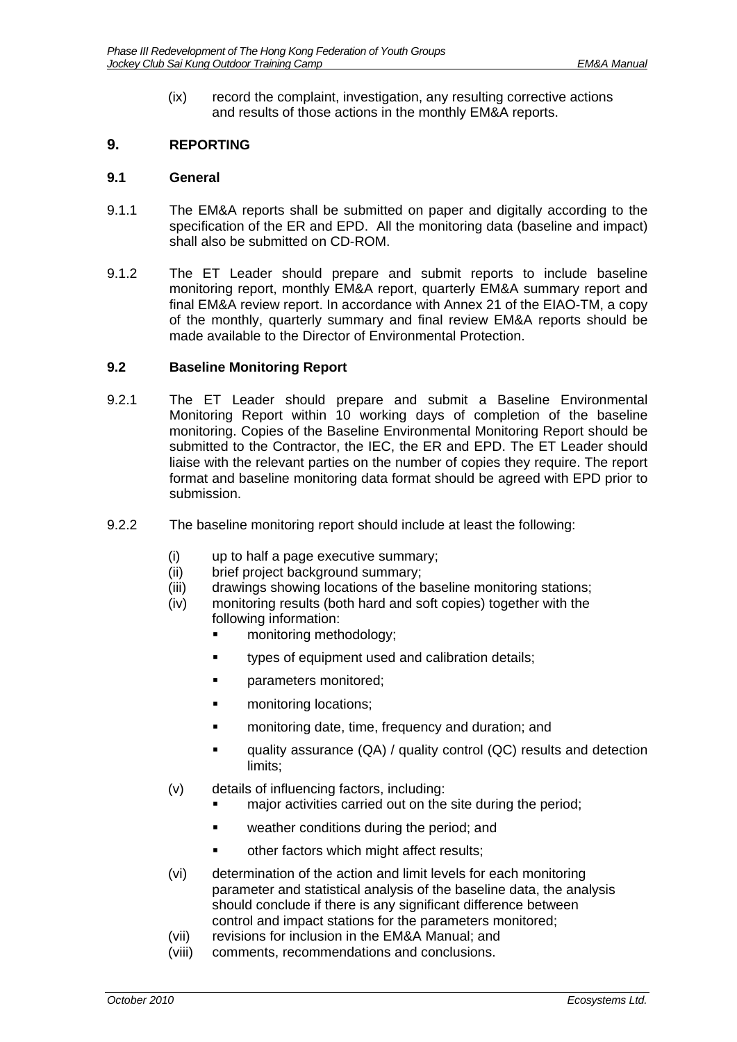(ix) record the complaint, investigation, any resulting corrective actions and results of those actions in the monthly EM&A reports.

# <span id="page-30-0"></span>**9. REPORTING**

### <span id="page-30-1"></span>**9.1 General**

- 9.1.1 The EM&A reports shall be submitted on paper and digitally according to the specification of the ER and EPD. All the monitoring data (baseline and impact) shall also be submitted on CD-ROM.
- 9.1.2 The ET Leader should prepare and submit reports to include baseline monitoring report, monthly EM&A report, quarterly EM&A summary report and final EM&A review report. In accordance with Annex 21 of the EIAO-TM, a copy of the monthly, quarterly summary and final review EM&A reports should be made available to the Director of Environmental Protection.

### <span id="page-30-2"></span>**9.2 Baseline Monitoring Report**

- 9.2.1 The ET Leader should prepare and submit a Baseline Environmental Monitoring Report within 10 working days of completion of the baseline monitoring. Copies of the Baseline Environmental Monitoring Report should be submitted to the Contractor, the IEC, the ER and EPD. The ET Leader should liaise with the relevant parties on the number of copies they require. The report format and baseline monitoring data format should be agreed with EPD prior to submission.
- 9.2.2 The baseline monitoring report should include at least the following:
	- (i) up to half a page executive summary;
	- (ii) brief project background summary;
	- (iii) drawings showing locations of the baseline monitoring stations;
	- (iv) monitoring results (both hard and soft copies) together with the following information:
		- **n** monitoring methodology;
		- **types of equipment used and calibration details;**
		- **parameters monitored;**
		- **EXECUTE:** monitoring locations;
		- **EXECUTE:** monitoring date, time, frequency and duration; and
		- **EXECUTE:** quality assurance (QA) / quality control (QC) results and detection limits;
	- (v) details of influencing factors, including:
		- **EXECT** major activities carried out on the site during the period;
		- **EXECUTE:** weather conditions during the period; and
		- other factors which might affect results;
	- (vi) determination of the action and limit levels for each monitoring parameter and statistical analysis of the baseline data, the analysis should conclude if there is any significant difference between control and impact stations for the parameters monitored;
	- (vii) revisions for inclusion in the EM&A Manual; and
	- (viii) comments, recommendations and conclusions.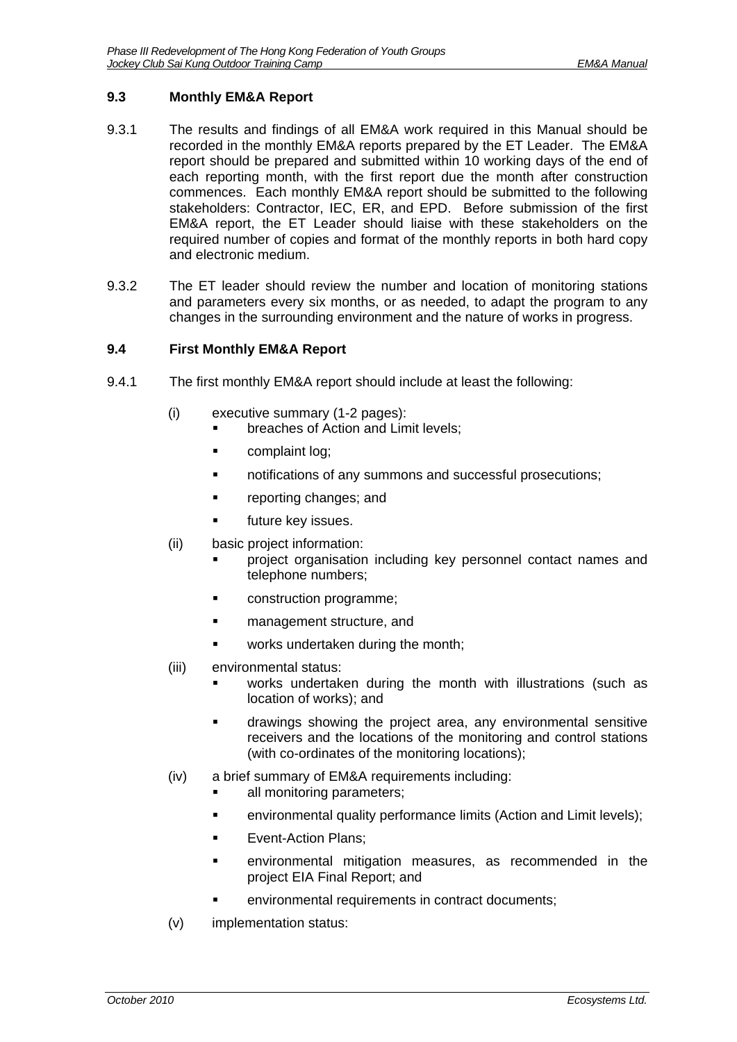### <span id="page-31-0"></span>**9.3 Monthly EM&A Report**

- 9.3.1 The results and findings of all EM&A work required in this Manual should be recorded in the monthly EM&A reports prepared by the ET Leader. The EM&A report should be prepared and submitted within 10 working days of the end of each reporting month, with the first report due the month after construction commences. Each monthly EM&A report should be submitted to the following stakeholders: Contractor, IEC, ER, and EPD. Before submission of the first EM&A report, the ET Leader should liaise with these stakeholders on the required number of copies and format of the monthly reports in both hard copy and electronic medium.
- 9.3.2 The ET leader should review the number and location of monitoring stations and parameters every six months, or as needed, to adapt the program to any changes in the surrounding environment and the nature of works in progress.

### <span id="page-31-1"></span>**9.4 First Monthly EM&A Report**

- 9.4.1 The first monthly EM&A report should include at least the following:
	- (i) executive summary (1-2 pages):
		- **Falle in Exercise** of Action and Limit levels:
			- **Examplaint log:**
			- notifications of any summons and successful prosecutions;
			- **•** reporting changes; and
			- future key issues.
	- (ii) basic project information:
		- project organisation including key personnel contact names and telephone numbers;
		- construction programme;
		- **EXECUTE:** management structure, and
		- works undertaken during the month;
	- (iii) environmental status:
		- works undertaken during the month with illustrations (such as location of works); and
		- drawings showing the project area, any environmental sensitive receivers and the locations of the monitoring and control stations (with co-ordinates of the monitoring locations);
	- (iv) a brief summary of EM&A requirements including:
		- all monitoring parameters;
		- **EXECT** environmental quality performance limits (Action and Limit levels);
		- **Exent-Action Plans:**
		- environmental mitigation measures, as recommended in the project EIA Final Report; and
		- environmental requirements in contract documents;
	- (v) implementation status: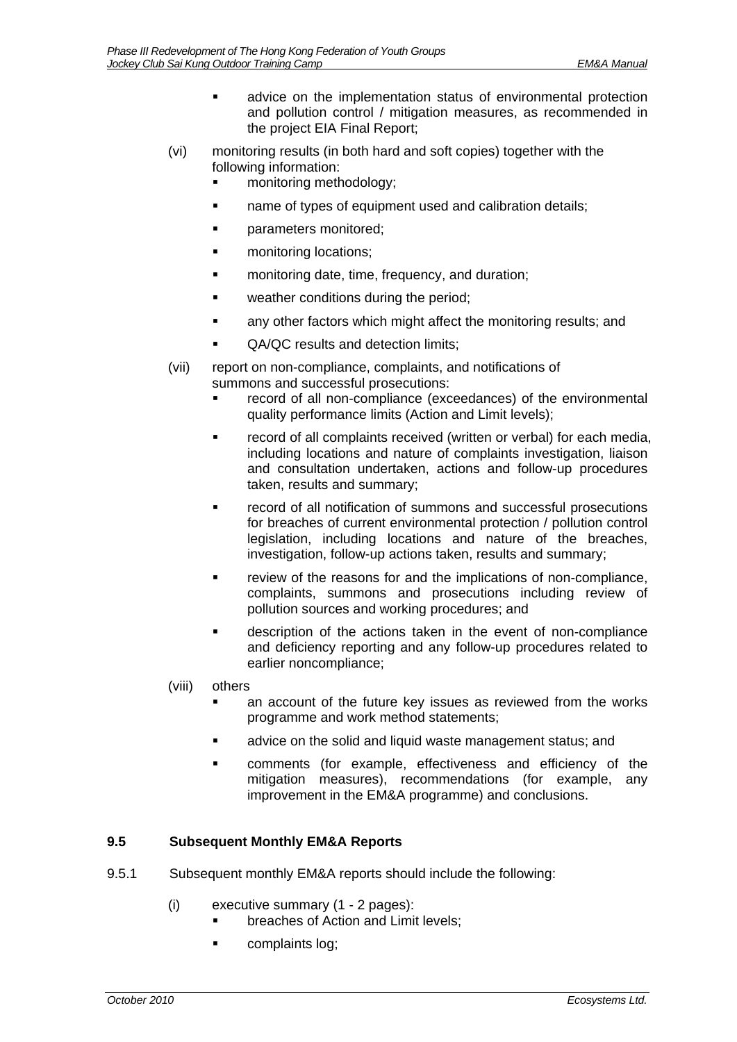- advice on the implementation status of environmental protection and pollution control / mitigation measures, as recommended in the project EIA Final Report;
- (vi) monitoring results (in both hard and soft copies) together with the following information:
	- monitoring methodology;
	- name of types of equipment used and calibration details;
	- **parameters monitored;**
	- monitoring locations;
	- **Example 1** monitoring date, time, frequency, and duration;
	- **EXEC** weather conditions during the period:
	- any other factors which might affect the monitoring results; and
	- QA/QC results and detection limits;
- (vii) report on non-compliance, complaints, and notifications of summons and successful prosecutions:
	- record of all non-compliance (exceedances) of the environmental quality performance limits (Action and Limit levels);
	- record of all complaints received (written or verbal) for each media, including locations and nature of complaints investigation, liaison and consultation undertaken, actions and follow-up procedures taken, results and summary;
	- record of all notification of summons and successful prosecutions for breaches of current environmental protection / pollution control legislation, including locations and nature of the breaches, investigation, follow-up actions taken, results and summary;
	- review of the reasons for and the implications of non-compliance, complaints, summons and prosecutions including review of pollution sources and working procedures; and
	- description of the actions taken in the event of non-compliance and deficiency reporting and any follow-up procedures related to earlier noncompliance;
- (viii) others
	- an account of the future key issues as reviewed from the works programme and work method statements;
	- advice on the solid and liquid waste management status; and
	- comments (for example, effectiveness and efficiency of the mitigation measures), recommendations (for example, any improvement in the EM&A programme) and conclusions.

### <span id="page-32-0"></span>**9.5 Subsequent Monthly EM&A Reports**

- 9.5.1 Subsequent monthly EM&A reports should include the following:
	- (i) executive summary (1 2 pages):
		- breaches of Action and Limit levels;
		- **Complaints log:**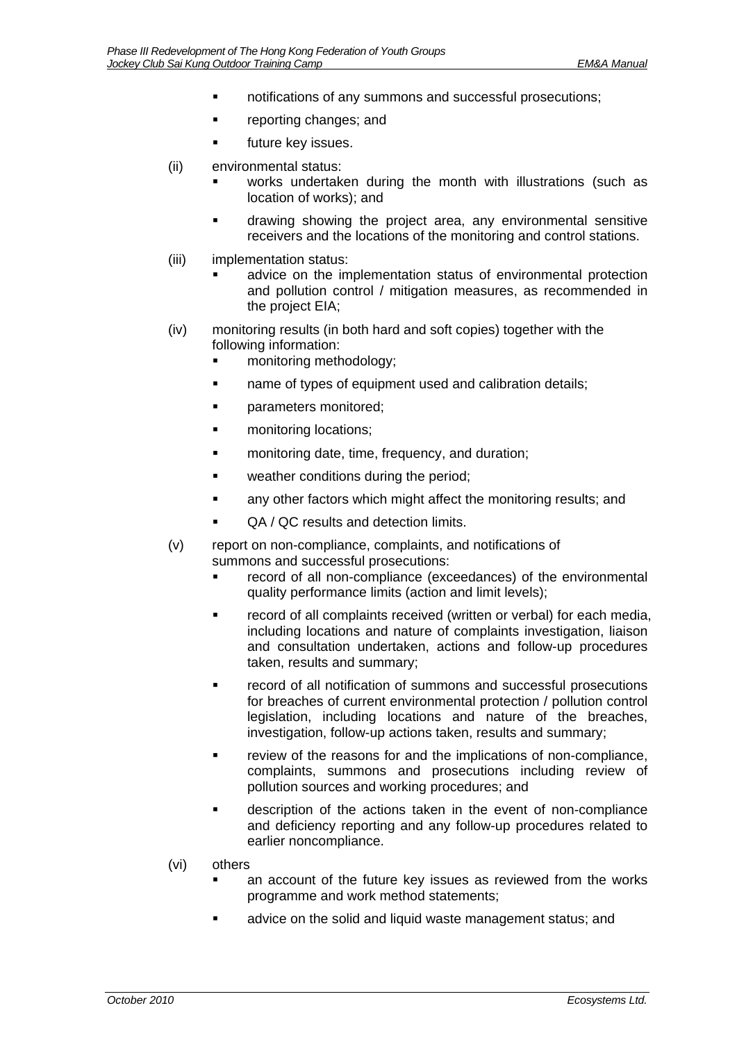- notifications of any summons and successful prosecutions;
- **•** reporting changes; and
- **future key issues.**
- (ii) environmental status:
	- works undertaken during the month with illustrations (such as location of works); and
	- drawing showing the project area, any environmental sensitive receivers and the locations of the monitoring and control stations.
- (iii) implementation status:
	- advice on the implementation status of environmental protection and pollution control / mitigation measures, as recommended in the project EIA;
- (iv) monitoring results (in both hard and soft copies) together with the following information:
	- monitoring methodology;
	- **name of types of equipment used and calibration details;**
	- parameters monitored;
	- **n** monitoring locations:
	- **EXECUTE:** monitoring date, time, frequency, and duration;
	- weather conditions during the period;
	- **EXECT** any other factors which might affect the monitoring results; and
	- QA / QC results and detection limits.
- (v) report on non-compliance, complaints, and notifications of summons and successful prosecutions:
	- record of all non-compliance (exceedances) of the environmental quality performance limits (action and limit levels);
	- record of all complaints received (written or verbal) for each media, including locations and nature of complaints investigation, liaison and consultation undertaken, actions and follow-up procedures taken, results and summary;
	- record of all notification of summons and successful prosecutions for breaches of current environmental protection / pollution control legislation, including locations and nature of the breaches, investigation, follow-up actions taken, results and summary;
	- review of the reasons for and the implications of non-compliance, complaints, summons and prosecutions including review of pollution sources and working procedures; and
	- description of the actions taken in the event of non-compliance and deficiency reporting and any follow-up procedures related to earlier noncompliance.
- (vi) others
	- an account of the future key issues as reviewed from the works programme and work method statements;
	- advice on the solid and liquid waste management status; and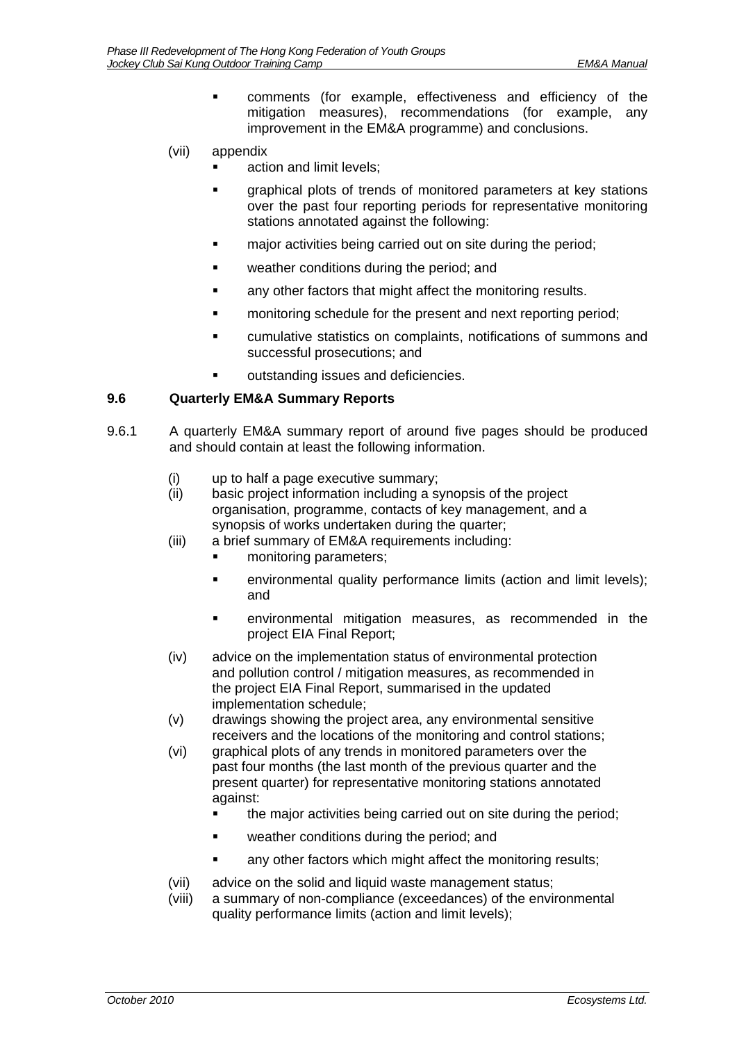- comments (for example, effectiveness and efficiency of the mitigation measures), recommendations (for example, any improvement in the EM&A programme) and conclusions.
- (vii) appendix
	- action and limit levels;
	- graphical plots of trends of monitored parameters at key stations over the past four reporting periods for representative monitoring stations annotated against the following:
	- **EXECT** major activities being carried out on site during the period;
	- weather conditions during the period; and
	- **EXECT** any other factors that might affect the monitoring results.
	- **•** monitoring schedule for the present and next reporting period;
	- cumulative statistics on complaints, notifications of summons and successful prosecutions; and
	- outstanding issues and deficiencies.

### <span id="page-34-0"></span>**9.6 Quarterly EM&A Summary Reports**

- 9.6.1 A quarterly EM&A summary report of around five pages should be produced and should contain at least the following information.
	- (i) up to half a page executive summary;
	- (ii) basic project information including a synopsis of the project organisation, programme, contacts of key management, and a synopsis of works undertaken during the quarter;
	- (iii) a brief summary of EM&A requirements including:
		- monitoring parameters;
		- environmental quality performance limits (action and limit levels); and
		- environmental mitigation measures, as recommended in the project EIA Final Report;
	- (iv) advice on the implementation status of environmental protection and pollution control / mitigation measures, as recommended in the project EIA Final Report, summarised in the updated implementation schedule;
	- (v) drawings showing the project area, any environmental sensitive receivers and the locations of the monitoring and control stations;
	- (vi) graphical plots of any trends in monitored parameters over the past four months (the last month of the previous quarter and the present quarter) for representative monitoring stations annotated against:
		- **the major activities being carried out on site during the period;**
		- weather conditions during the period; and
		- any other factors which might affect the monitoring results;
	- (vii) advice on the solid and liquid waste management status;
	- (viii) a summary of non-compliance (exceedances) of the environmental quality performance limits (action and limit levels);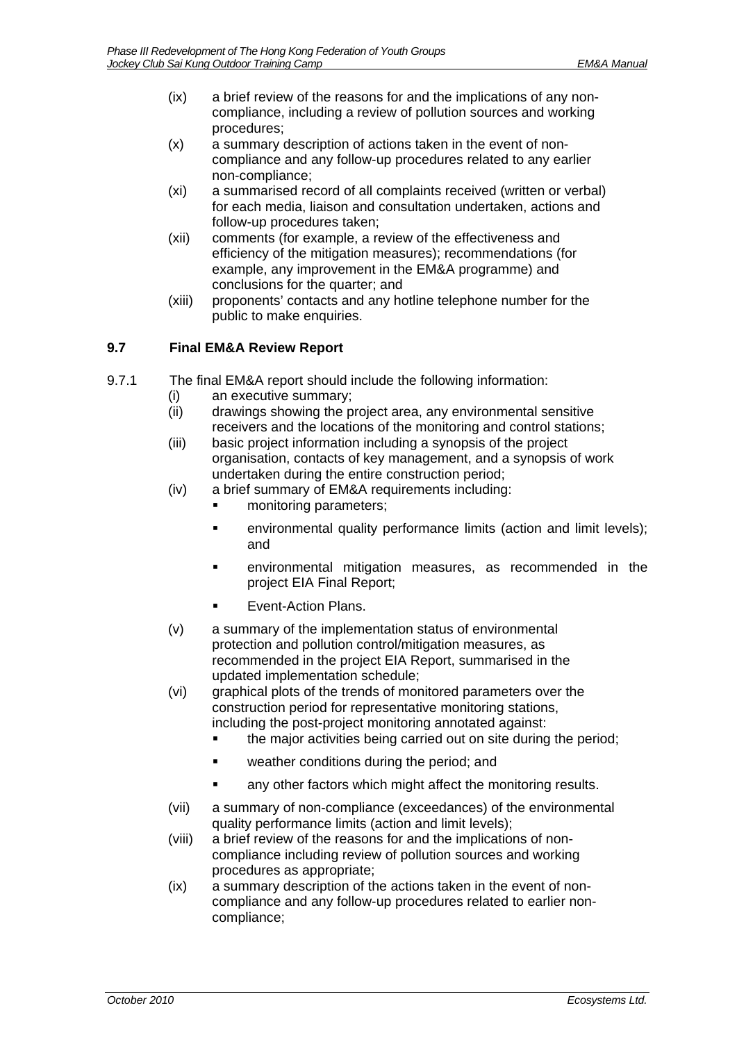- (ix) a brief review of the reasons for and the implications of any noncompliance, including a review of pollution sources and working procedures;
- (x) a summary description of actions taken in the event of noncompliance and any follow-up procedures related to any earlier non-compliance;
- (xi) a summarised record of all complaints received (written or verbal) for each media, liaison and consultation undertaken, actions and follow-up procedures taken;
- (xii) comments (for example, a review of the effectiveness and efficiency of the mitigation measures); recommendations (for example, any improvement in the EM&A programme) and conclusions for the quarter; and
- (xiii) proponents' contacts and any hotline telephone number for the public to make enquiries.

# <span id="page-35-0"></span>**9.7 Final EM&A Review Report**

- 9.7.1 The final EM&A report should include the following information:
	- (i) an executive summary;
	- (ii) drawings showing the project area, any environmental sensitive receivers and the locations of the monitoring and control stations;
	- (iii) basic project information including a synopsis of the project organisation, contacts of key management, and a synopsis of work undertaken during the entire construction period;
	- (iv) a brief summary of EM&A requirements including:
		- monitoring parameters;
		- **EXECT** environmental quality performance limits (action and limit levels); and
		- environmental mitigation measures, as recommended in the project EIA Final Report;
		- Event-Action Plans.
	- (v) a summary of the implementation status of environmental protection and pollution control/mitigation measures, as recommended in the project EIA Report, summarised in the updated implementation schedule;
	- (vi) graphical plots of the trends of monitored parameters over the construction period for representative monitoring stations, including the post-project monitoring annotated against:
		- the major activities being carried out on site during the period;
		- **•** weather conditions during the period; and
		- any other factors which might affect the monitoring results.
	- (vii) a summary of non-compliance (exceedances) of the environmental quality performance limits (action and limit levels);
	- (viii) a brief review of the reasons for and the implications of noncompliance including review of pollution sources and working procedures as appropriate;
	- (ix) a summary description of the actions taken in the event of noncompliance and any follow-up procedures related to earlier noncompliance;